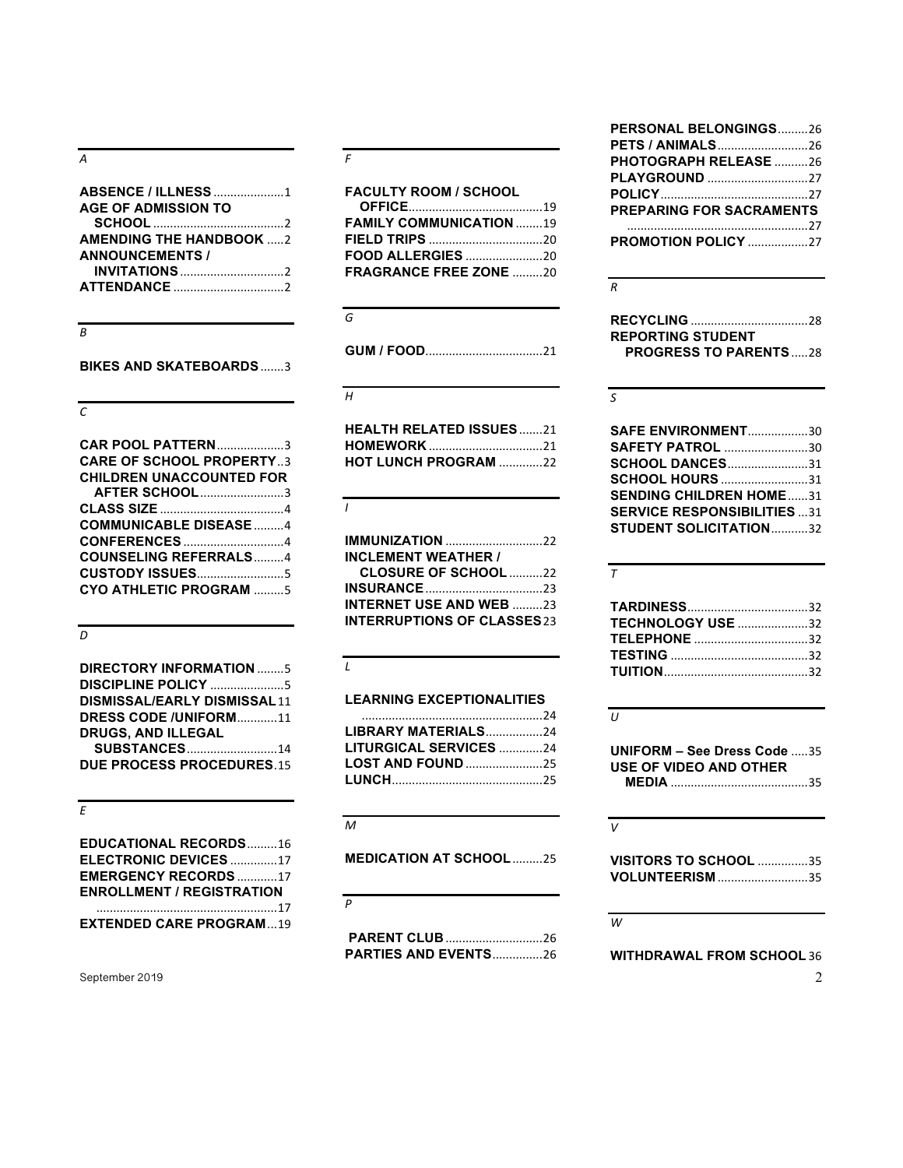*A*

| <b>ABSENCE / ILLNESS 1</b>     |
|--------------------------------|
| <b>AGE OF ADMISSION TO</b>     |
|                                |
| <b>AMENDING THE HANDBOOK 2</b> |
| <b>ANNOUNCEMENTS /</b>         |
|                                |
|                                |

#### *B*

**BIKES AND SKATEBOARDS**.......3

#### *C*

| <b>CAR POOL PATTERN3</b>        |
|---------------------------------|
| <b>CARE OF SCHOOL PROPERTY3</b> |
| <b>CHILDREN UNACCOUNTED FOR</b> |
| <b>AFTER SCHOOL3</b>            |
|                                 |
| <b>COMMUNICABLE DISEASE 4</b>   |
|                                 |
| <b>COUNSELING REFERRALS4</b>    |
|                                 |
| <b>CYO ATHLETIC PROGRAM 5</b>   |

#### *D*

| <b>DIRECTORY INFORMATION 5</b>     |
|------------------------------------|
| <b>DISCIPLINE POLICY 5</b>         |
| <b>DISMISSAL/EARLY DISMISSAL11</b> |
| DRESS CODE /UNIFORM11              |
| <b>DRUGS, AND ILLEGAL</b>          |
| <b>SUBSTANCES14</b>                |
| <b>DUE PROCESS PROCEDURES.15</b>   |

#### *E*

| <b>EDUCATIONAL RECORDS16</b>     |  |
|----------------------------------|--|
| ELECTRONIC DEVICES 17            |  |
| <b>EMERGENCY RECORDS17</b>       |  |
| <b>ENROLLMENT / REGISTRATION</b> |  |
|                                  |  |
| <b>EXTENDED CARE PROGRAM19</b>   |  |

September 2019 2

#### *F*

| <b>FACULTY ROOM / SCHOOL</b>   |  |
|--------------------------------|--|
|                                |  |
| <b>FAMILY COMMUNICATION 19</b> |  |
|                                |  |
|                                |  |
| <b>FRAGRANCE FREE ZONE 20</b>  |  |

#### *G*

**GUM / FOOD**...................................21

#### *H*

| <b>HEALTH RELATED ISSUES21</b> |  |
|--------------------------------|--|
|                                |  |
| <b>HOT LUNCH PROGRAM 22</b>    |  |

#### *I*

| <b>IMMUNIZATION</b> 22             |  |
|------------------------------------|--|
| <b>INCLEMENT WEATHER /</b>         |  |
| <b>CLOSURE OF SCHOOL</b> 22        |  |
|                                    |  |
| <b>INTERNET USE AND WEB</b> 23     |  |
| <b>INTERRUPTIONS OF CLASSES 23</b> |  |

#### *L*

#### **LEARNING EXCEPTIONALITIES**

| LIBRARY MATERIALS24           |  |
|-------------------------------|--|
| <b>LITURGICAL SERVICES 24</b> |  |
| <b>LOST AND FOUND 25</b>      |  |
|                               |  |

#### *M*

**MEDICATION AT SCHOOL**.........25

#### *P*

**PARENT CLUB**.............................26 **PARTIES AND EVENTS**...............26

#### **PERSONAL BELONGINGS**.........26 **PETS / ANIMALS**...........................26 **PHOTOGRAPH RELEASE** ..........26 **PLAYGROUND** ..............................27 **POLICY**............................................27 **PREPARING FOR SACRAMENTS** ......................................................27 **PROMOTION POLICY** ..................27

#### *R*

| REPORTING STUDENT            |  |
|------------------------------|--|
| <b>PROGRESS TO PARENTS28</b> |  |

#### *S*

| SAFE ENVIRONMENT30                 |  |
|------------------------------------|--|
| <b>SAFETY PATROL</b> 30            |  |
| <b>SCHOOL DANCES31</b>             |  |
| <b>SCHOOL HOURS 31</b>             |  |
| <b>SENDING CHILDREN HOME31</b>     |  |
| <b>SERVICE RESPONSIBILITIES</b> 31 |  |
| <b>STUDENT SOLICITATION32</b>      |  |

#### *T*

| <b>TECHNOLOGY USE 32</b> |  |
|--------------------------|--|
| <b>TELEPHONE</b> 32      |  |
|                          |  |
|                          |  |

#### *U*

**UNIFORM – See Dress Code** .....35 **USE OF VIDEO AND OTHER MEDIA** .........................................35

#### *V*

**VISITORS TO SCHOOL** ...............35 **VOLUNTEERISM** ...........................35

#### *W*

**WITHDRAWAL FROM SCHOOL** 36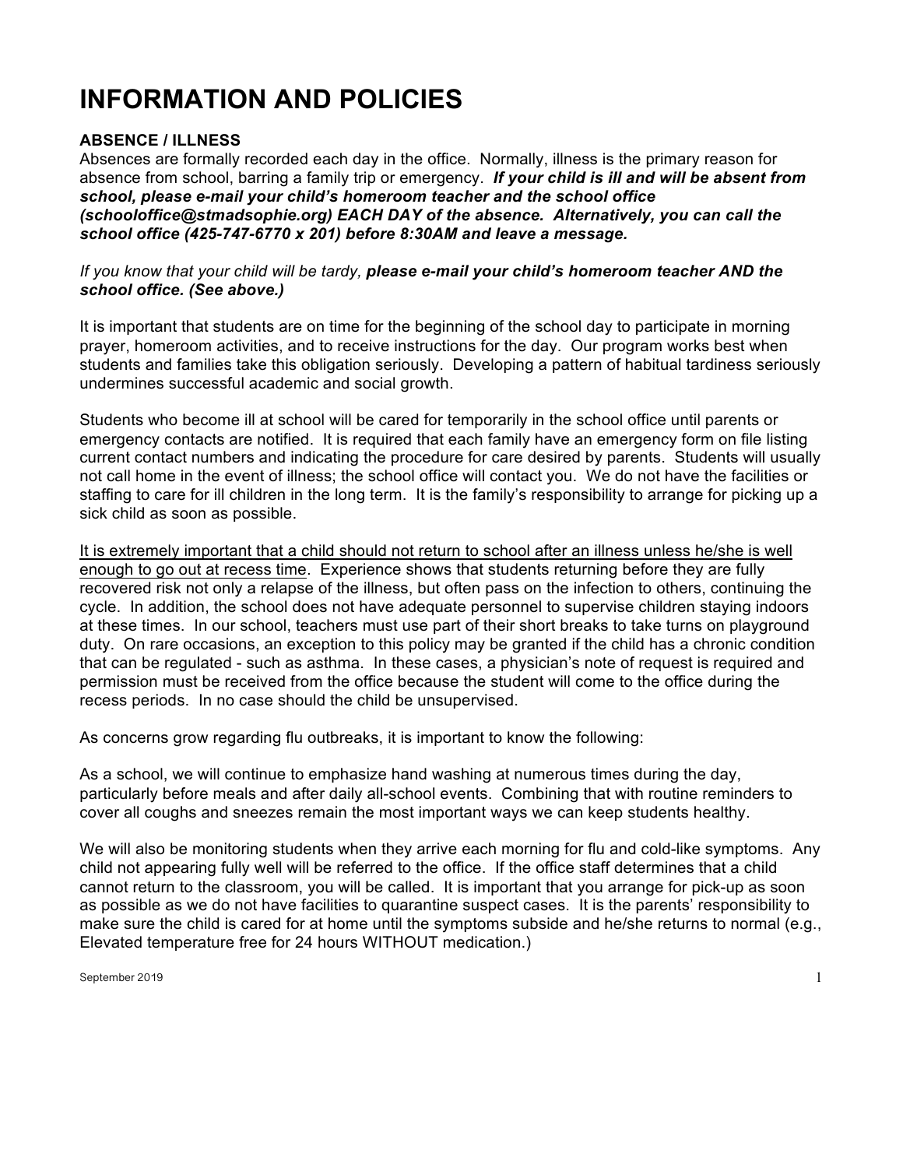# **INFORMATION AND POLICIES**

## **ABSENCE / ILLNESS**

Absences are formally recorded each day in the office. Normally, illness is the primary reason for absence from school, barring a family trip or emergency. *If your child is ill and will be absent from school, please e-mail your child's homeroom teacher and the school office (schooloffice@stmadsophie.org) EACH DAY of the absence. Alternatively, you can call the school office (425-747-6770 x 201) before 8:30AM and leave a message.* 

#### *If you know that your child will be tardy, please e-mail your child's homeroom teacher AND the school office. (See above.)*

It is important that students are on time for the beginning of the school day to participate in morning prayer, homeroom activities, and to receive instructions for the day. Our program works best when students and families take this obligation seriously. Developing a pattern of habitual tardiness seriously undermines successful academic and social growth.

Students who become ill at school will be cared for temporarily in the school office until parents or emergency contacts are notified. It is required that each family have an emergency form on file listing current contact numbers and indicating the procedure for care desired by parents. Students will usually not call home in the event of illness; the school office will contact you. We do not have the facilities or staffing to care for ill children in the long term. It is the family's responsibility to arrange for picking up a sick child as soon as possible.

It is extremely important that a child should not return to school after an illness unless he/she is well enough to go out at recess time. Experience shows that students returning before they are fully recovered risk not only a relapse of the illness, but often pass on the infection to others, continuing the cycle. In addition, the school does not have adequate personnel to supervise children staying indoors at these times. In our school, teachers must use part of their short breaks to take turns on playground duty. On rare occasions, an exception to this policy may be granted if the child has a chronic condition that can be regulated - such as asthma. In these cases, a physician's note of request is required and permission must be received from the office because the student will come to the office during the recess periods. In no case should the child be unsupervised.

As concerns grow regarding flu outbreaks, it is important to know the following:

As a school, we will continue to emphasize hand washing at numerous times during the day, particularly before meals and after daily all-school events. Combining that with routine reminders to cover all coughs and sneezes remain the most important ways we can keep students healthy.

We will also be monitoring students when they arrive each morning for flu and cold-like symptoms. Any child not appearing fully well will be referred to the office. If the office staff determines that a child cannot return to the classroom, you will be called. It is important that you arrange for pick-up as soon as possible as we do not have facilities to quarantine suspect cases. It is the parents' responsibility to make sure the child is cared for at home until the symptoms subside and he/she returns to normal (e.g., Elevated temperature free for 24 hours WITHOUT medication.)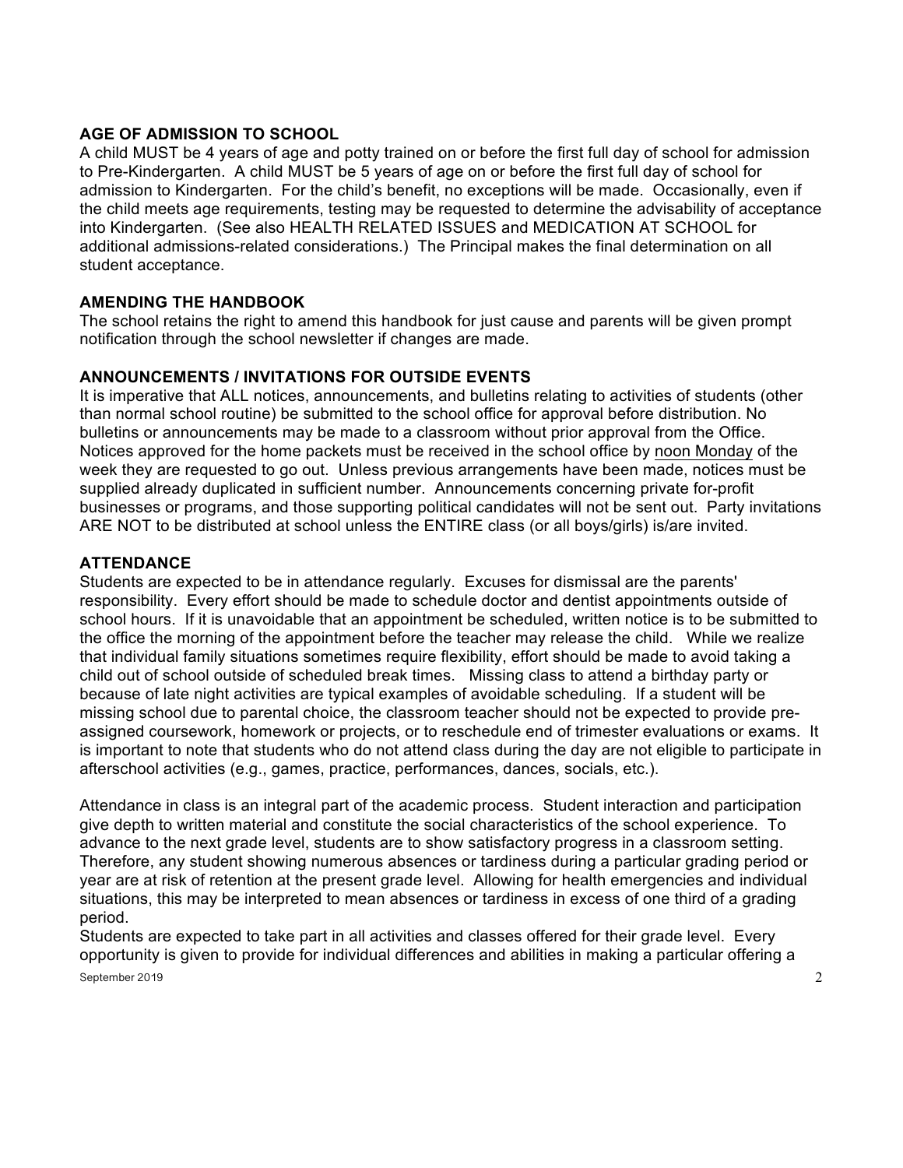#### **AGE OF ADMISSION TO SCHOOL**

A child MUST be 4 years of age and potty trained on or before the first full day of school for admission to Pre-Kindergarten. A child MUST be 5 years of age on or before the first full day of school for admission to Kindergarten. For the child's benefit, no exceptions will be made. Occasionally, even if the child meets age requirements, testing may be requested to determine the advisability of acceptance into Kindergarten. (See also HEALTH RELATED ISSUES and MEDICATION AT SCHOOL for additional admissions-related considerations.) The Principal makes the final determination on all student acceptance.

#### **AMENDING THE HANDBOOK**

The school retains the right to amend this handbook for just cause and parents will be given prompt notification through the school newsletter if changes are made.

#### **ANNOUNCEMENTS / INVITATIONS FOR OUTSIDE EVENTS**

It is imperative that ALL notices, announcements, and bulletins relating to activities of students (other than normal school routine) be submitted to the school office for approval before distribution. No bulletins or announcements may be made to a classroom without prior approval from the Office. Notices approved for the home packets must be received in the school office by noon Monday of the week they are requested to go out. Unless previous arrangements have been made, notices must be supplied already duplicated in sufficient number. Announcements concerning private for-profit businesses or programs, and those supporting political candidates will not be sent out. Party invitations ARE NOT to be distributed at school unless the ENTIRE class (or all boys/girls) is/are invited.

#### **ATTENDANCE**

Students are expected to be in attendance regularly. Excuses for dismissal are the parents' responsibility. Every effort should be made to schedule doctor and dentist appointments outside of school hours. If it is unavoidable that an appointment be scheduled, written notice is to be submitted to the office the morning of the appointment before the teacher may release the child. While we realize that individual family situations sometimes require flexibility, effort should be made to avoid taking a child out of school outside of scheduled break times. Missing class to attend a birthday party or because of late night activities are typical examples of avoidable scheduling. If a student will be missing school due to parental choice, the classroom teacher should not be expected to provide preassigned coursework, homework or projects, or to reschedule end of trimester evaluations or exams. It is important to note that students who do not attend class during the day are not eligible to participate in afterschool activities (e.g., games, practice, performances, dances, socials, etc.).

Attendance in class is an integral part of the academic process. Student interaction and participation give depth to written material and constitute the social characteristics of the school experience. To advance to the next grade level, students are to show satisfactory progress in a classroom setting. Therefore, any student showing numerous absences or tardiness during a particular grading period or year are at risk of retention at the present grade level. Allowing for health emergencies and individual situations, this may be interpreted to mean absences or tardiness in excess of one third of a grading period.

September 2019 2 Students are expected to take part in all activities and classes offered for their grade level. Every opportunity is given to provide for individual differences and abilities in making a particular offering a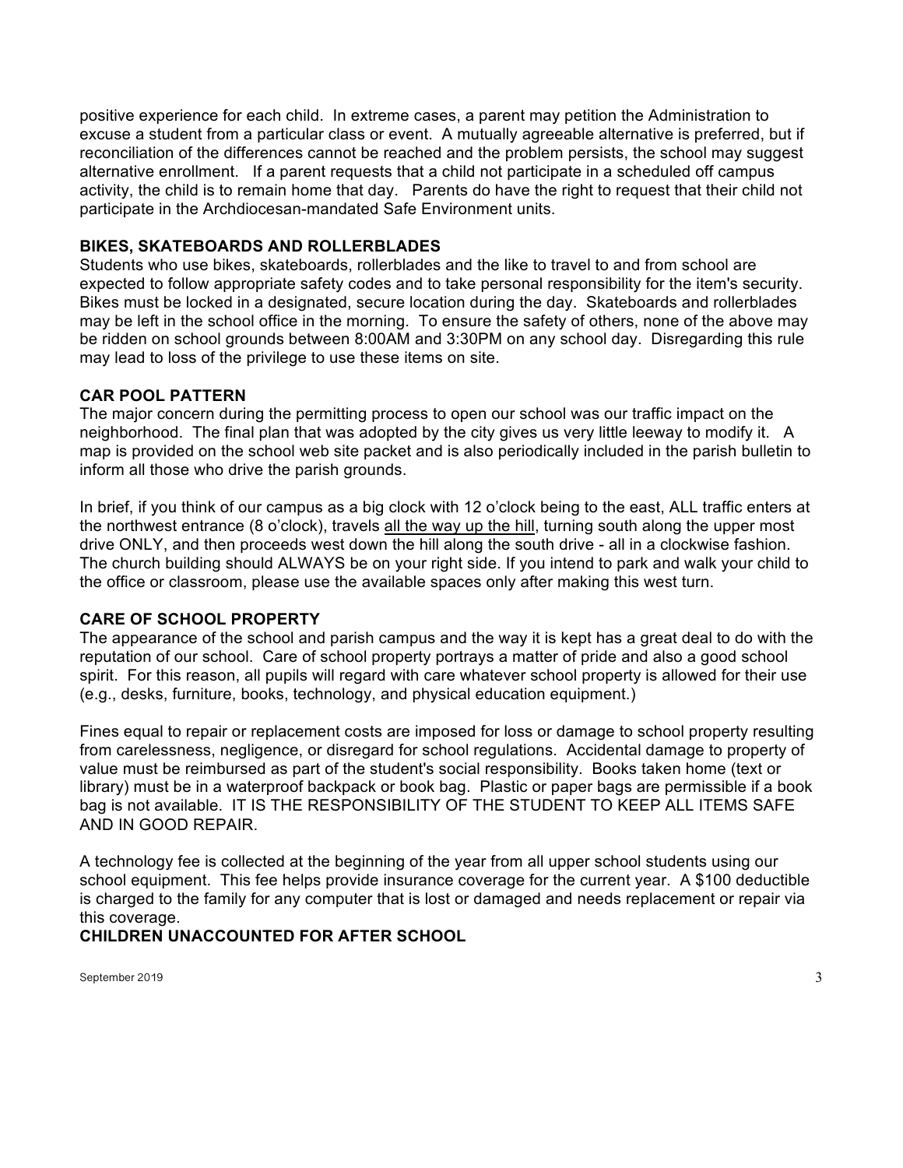positive experience for each child. In extreme cases, a parent may petition the Administration to excuse a student from a particular class or event. A mutually agreeable alternative is preferred, but if reconciliation of the differences cannot be reached and the problem persists, the school may suggest alternative enrollment. If a parent requests that a child not participate in a scheduled off campus activity, the child is to remain home that day. Parents do have the right to request that their child not participate in the Archdiocesan-mandated Safe Environment units.

#### **BIKES, SKATEBOARDS AND ROLLERBLADES**

Students who use bikes, skateboards, rollerblades and the like to travel to and from school are expected to follow appropriate safety codes and to take personal responsibility for the item's security. Bikes must be locked in a designated, secure location during the day. Skateboards and rollerblades may be left in the school office in the morning. To ensure the safety of others, none of the above may be ridden on school grounds between 8:00AM and 3:30PM on any school day. Disregarding this rule may lead to loss of the privilege to use these items on site.

#### **CAR POOL PATTERN**

The major concern during the permitting process to open our school was our traffic impact on the neighborhood. The final plan that was adopted by the city gives us very little leeway to modify it. A map is provided on the school web site packet and is also periodically included in the parish bulletin to inform all those who drive the parish grounds.

In brief, if you think of our campus as a big clock with 12 o'clock being to the east, ALL traffic enters at the northwest entrance (8 o'clock), travels all the way up the hill, turning south along the upper most drive ONLY, and then proceeds west down the hill along the south drive - all in a clockwise fashion. The church building should ALWAYS be on your right side. If you intend to park and walk your child to the office or classroom, please use the available spaces only after making this west turn.

#### **CARE OF SCHOOL PROPERTY**

The appearance of the school and parish campus and the way it is kept has a great deal to do with the reputation of our school. Care of school property portrays a matter of pride and also a good school spirit. For this reason, all pupils will regard with care whatever school property is allowed for their use (e.g., desks, furniture, books, technology, and physical education equipment.)

Fines equal to repair or replacement costs are imposed for loss or damage to school property resulting from carelessness, negligence, or disregard for school regulations. Accidental damage to property of value must be reimbursed as part of the student's social responsibility. Books taken home (text or library) must be in a waterproof backpack or book bag. Plastic or paper bags are permissible if a book bag is not available. IT IS THE RESPONSIBILITY OF THE STUDENT TO KEEP ALL ITEMS SAFE AND IN GOOD REPAIR.

A technology fee is collected at the beginning of the year from all upper school students using our school equipment. This fee helps provide insurance coverage for the current year. A \$100 deductible is charged to the family for any computer that is lost or damaged and needs replacement or repair via this coverage.

## **CHILDREN UNACCOUNTED FOR AFTER SCHOOL**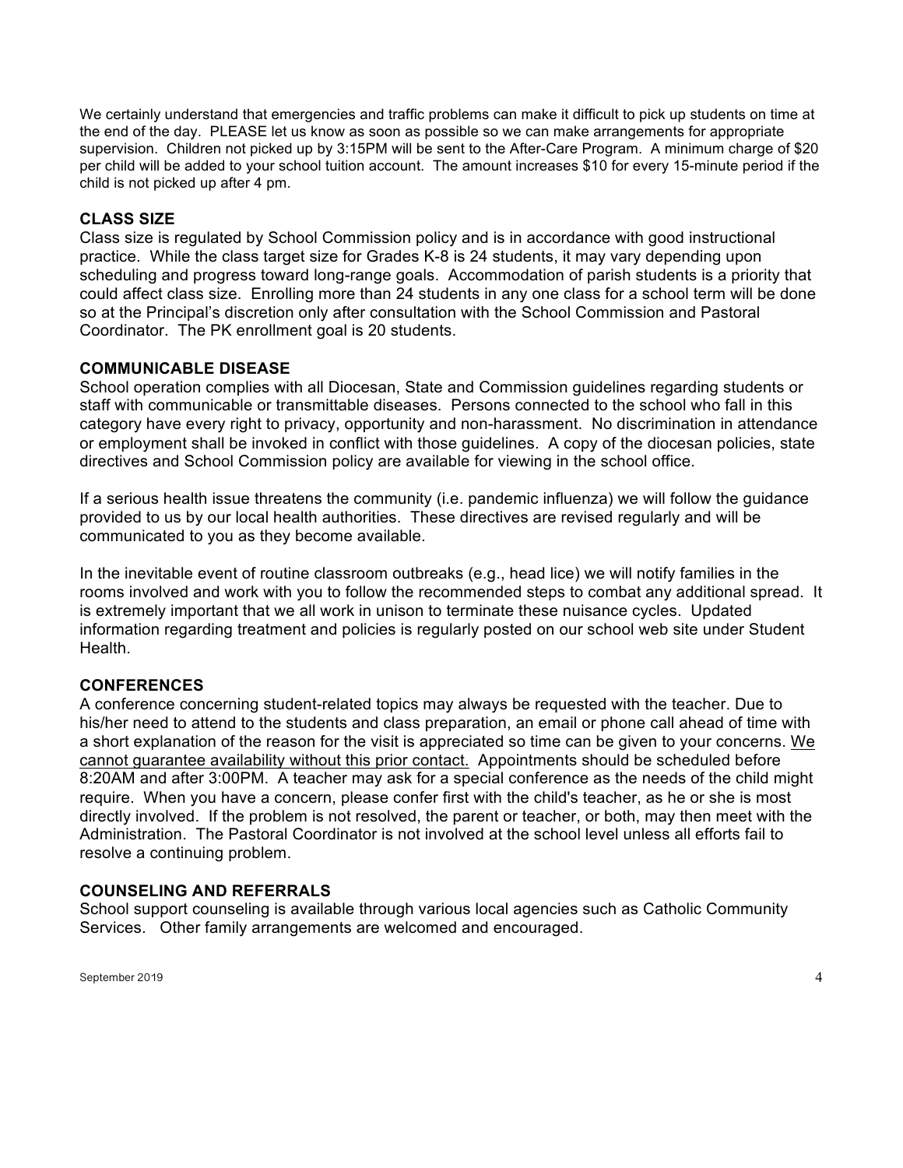We certainly understand that emergencies and traffic problems can make it difficult to pick up students on time at the end of the day. PLEASE let us know as soon as possible so we can make arrangements for appropriate supervision. Children not picked up by 3:15PM will be sent to the After-Care Program. A minimum charge of \$20 per child will be added to your school tuition account. The amount increases \$10 for every 15-minute period if the child is not picked up after 4 pm.

#### **CLASS SIZE**

Class size is regulated by School Commission policy and is in accordance with good instructional practice. While the class target size for Grades K-8 is 24 students, it may vary depending upon scheduling and progress toward long-range goals. Accommodation of parish students is a priority that could affect class size. Enrolling more than 24 students in any one class for a school term will be done so at the Principal's discretion only after consultation with the School Commission and Pastoral Coordinator. The PK enrollment goal is 20 students.

#### **COMMUNICABLE DISEASE**

School operation complies with all Diocesan, State and Commission guidelines regarding students or staff with communicable or transmittable diseases. Persons connected to the school who fall in this category have every right to privacy, opportunity and non-harassment. No discrimination in attendance or employment shall be invoked in conflict with those guidelines. A copy of the diocesan policies, state directives and School Commission policy are available for viewing in the school office.

If a serious health issue threatens the community (i.e. pandemic influenza) we will follow the guidance provided to us by our local health authorities. These directives are revised regularly and will be communicated to you as they become available.

In the inevitable event of routine classroom outbreaks (e.g., head lice) we will notify families in the rooms involved and work with you to follow the recommended steps to combat any additional spread. It is extremely important that we all work in unison to terminate these nuisance cycles. Updated information regarding treatment and policies is regularly posted on our school web site under Student Health.

#### **CONFERENCES**

A conference concerning student-related topics may always be requested with the teacher. Due to his/her need to attend to the students and class preparation, an email or phone call ahead of time with a short explanation of the reason for the visit is appreciated so time can be given to your concerns. We cannot guarantee availability without this prior contact. Appointments should be scheduled before 8:20AM and after 3:00PM. A teacher may ask for a special conference as the needs of the child might require. When you have a concern, please confer first with the child's teacher, as he or she is most directly involved. If the problem is not resolved, the parent or teacher, or both, may then meet with the Administration. The Pastoral Coordinator is not involved at the school level unless all efforts fail to resolve a continuing problem.

#### **COUNSELING AND REFERRALS**

School support counseling is available through various local agencies such as Catholic Community Services. Other family arrangements are welcomed and encouraged.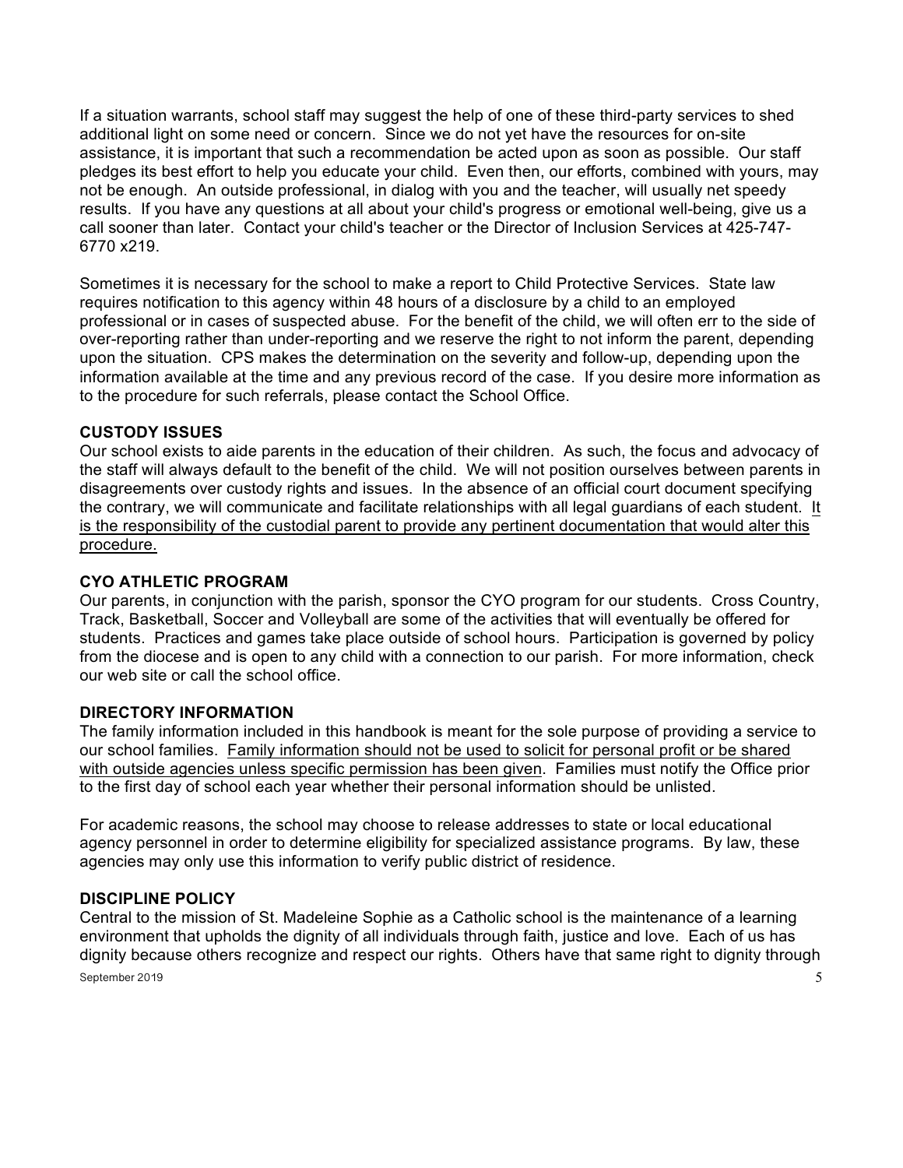If a situation warrants, school staff may suggest the help of one of these third-party services to shed additional light on some need or concern. Since we do not yet have the resources for on-site assistance, it is important that such a recommendation be acted upon as soon as possible. Our staff pledges its best effort to help you educate your child. Even then, our efforts, combined with yours, may not be enough. An outside professional, in dialog with you and the teacher, will usually net speedy results. If you have any questions at all about your child's progress or emotional well-being, give us a call sooner than later. Contact your child's teacher or the Director of Inclusion Services at 425-747- 6770 x219.

Sometimes it is necessary for the school to make a report to Child Protective Services. State law requires notification to this agency within 48 hours of a disclosure by a child to an employed professional or in cases of suspected abuse. For the benefit of the child, we will often err to the side of over-reporting rather than under-reporting and we reserve the right to not inform the parent, depending upon the situation. CPS makes the determination on the severity and follow-up, depending upon the information available at the time and any previous record of the case. If you desire more information as to the procedure for such referrals, please contact the School Office.

#### **CUSTODY ISSUES**

Our school exists to aide parents in the education of their children. As such, the focus and advocacy of the staff will always default to the benefit of the child. We will not position ourselves between parents in disagreements over custody rights and issues. In the absence of an official court document specifying the contrary, we will communicate and facilitate relationships with all legal guardians of each student. It is the responsibility of the custodial parent to provide any pertinent documentation that would alter this procedure.

#### **CYO ATHLETIC PROGRAM**

Our parents, in conjunction with the parish, sponsor the CYO program for our students. Cross Country, Track, Basketball, Soccer and Volleyball are some of the activities that will eventually be offered for students. Practices and games take place outside of school hours. Participation is governed by policy from the diocese and is open to any child with a connection to our parish. For more information, check our web site or call the school office.

#### **DIRECTORY INFORMATION**

The family information included in this handbook is meant for the sole purpose of providing a service to our school families. Family information should not be used to solicit for personal profit or be shared with outside agencies unless specific permission has been given. Families must notify the Office prior to the first day of school each year whether their personal information should be unlisted.

For academic reasons, the school may choose to release addresses to state or local educational agency personnel in order to determine eligibility for specialized assistance programs. By law, these agencies may only use this information to verify public district of residence.

#### **DISCIPLINE POLICY**

September 2019 5 Central to the mission of St. Madeleine Sophie as a Catholic school is the maintenance of a learning environment that upholds the dignity of all individuals through faith, justice and love. Each of us has dignity because others recognize and respect our rights. Others have that same right to dignity through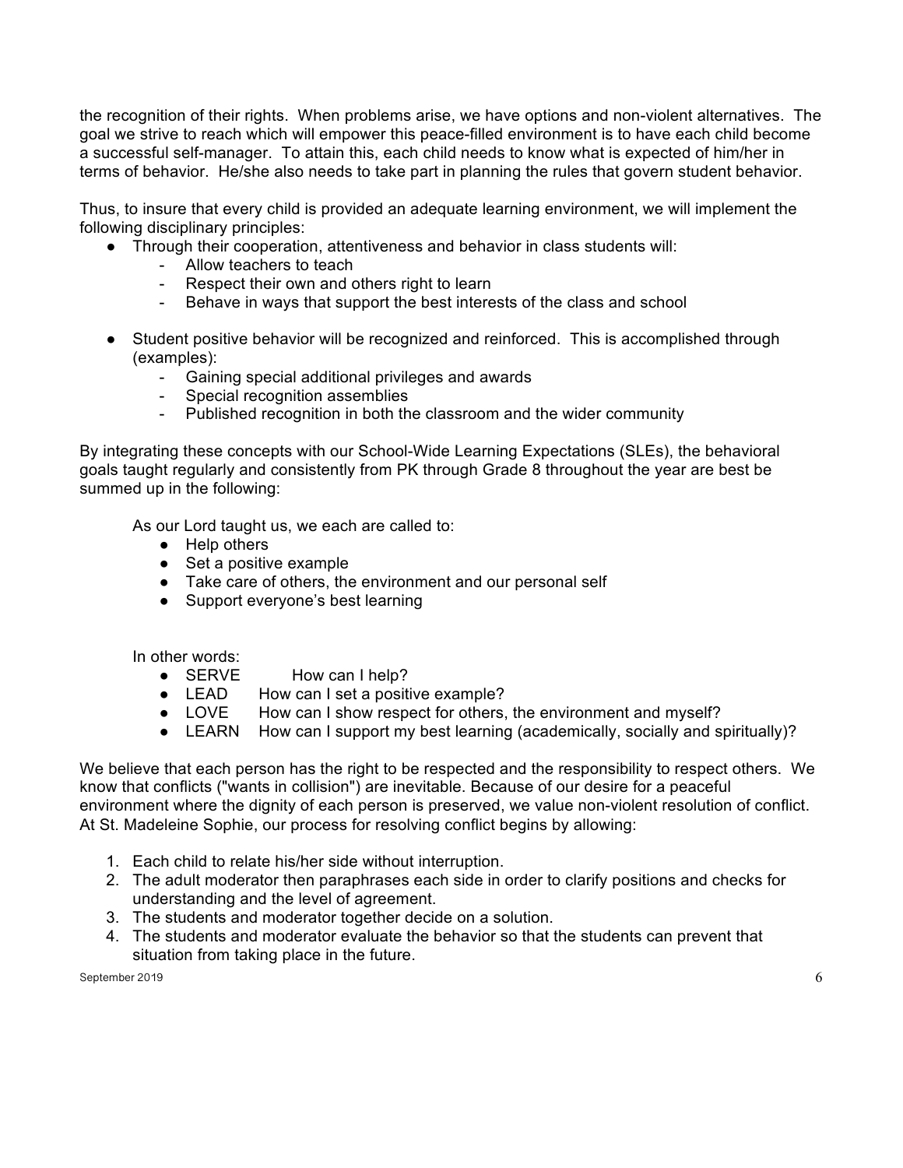the recognition of their rights. When problems arise, we have options and non-violent alternatives. The goal we strive to reach which will empower this peace-filled environment is to have each child become a successful self-manager. To attain this, each child needs to know what is expected of him/her in terms of behavior. He/she also needs to take part in planning the rules that govern student behavior.

Thus, to insure that every child is provided an adequate learning environment, we will implement the following disciplinary principles:

- Through their cooperation, attentiveness and behavior in class students will:
	- Allow teachers to teach
	- Respect their own and others right to learn
	- Behave in ways that support the best interests of the class and school
- Student positive behavior will be recognized and reinforced. This is accomplished through (examples):
	- Gaining special additional privileges and awards
	- Special recognition assemblies
	- Published recognition in both the classroom and the wider community

By integrating these concepts with our School-Wide Learning Expectations (SLEs), the behavioral goals taught regularly and consistently from PK through Grade 8 throughout the year are best be summed up in the following:

As our Lord taught us, we each are called to:

- Help others
- Set a positive example
- Take care of others, the environment and our personal self
- Support everyone's best learning

In other words:

- SERVE How can I help?<br>● LEAD How can I set a posit
- How can I set a positive example?
- LOVE How can I show respect for others, the environment and myself?
- LEARN How can I support my best learning (academically, socially and spiritually)?

We believe that each person has the right to be respected and the responsibility to respect others. We know that conflicts ("wants in collision") are inevitable. Because of our desire for a peaceful environment where the dignity of each person is preserved, we value non-violent resolution of conflict. At St. Madeleine Sophie, our process for resolving conflict begins by allowing:

- 1. Each child to relate his/her side without interruption.
- 2. The adult moderator then paraphrases each side in order to clarify positions and checks for understanding and the level of agreement.
- 3. The students and moderator together decide on a solution.
- 4. The students and moderator evaluate the behavior so that the students can prevent that situation from taking place in the future.

September 2019  $\qquad \qquad \qquad 6$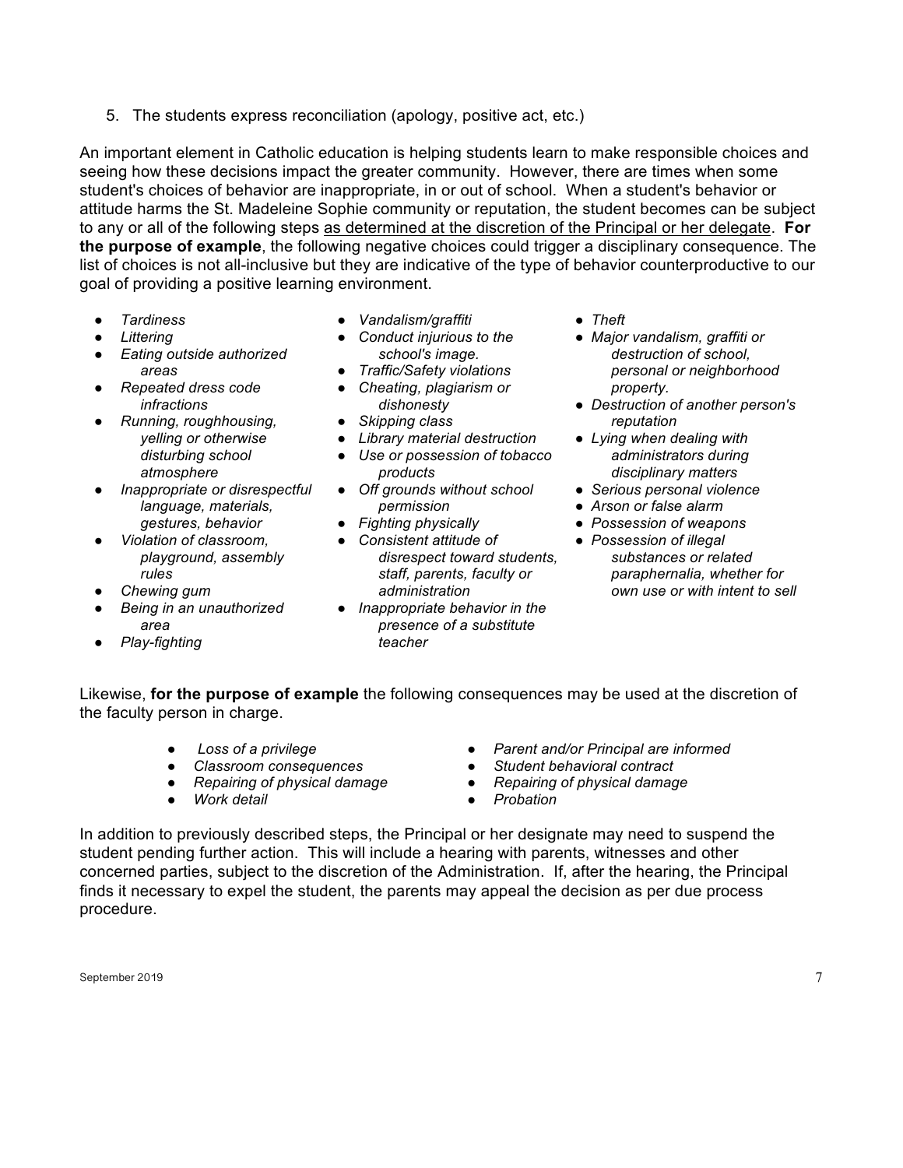5. The students express reconciliation (apology, positive act, etc.)

An important element in Catholic education is helping students learn to make responsible choices and seeing how these decisions impact the greater community. However, there are times when some student's choices of behavior are inappropriate, in or out of school. When a student's behavior or attitude harms the St. Madeleine Sophie community or reputation, the student becomes can be subject to any or all of the following steps as determined at the discretion of the Principal or her delegate. **For the purpose of example**, the following negative choices could trigger a disciplinary consequence. The list of choices is not all-inclusive but they are indicative of the type of behavior counterproductive to our goal of providing a positive learning environment.

- *Tardiness*
- *Littering*
- *Eating outside authorized areas*
- *Repeated dress code infractions*
- *Running, roughhousing, yelling or otherwise disturbing school atmosphere*
- *Inappropriate or disrespectful language, materials, gestures, behavior*
- *Violation of classroom, playground, assembly rules*
- *Chewing gum*
- *Being in an unauthorized area*
- *Play-fighting*
- *Vandalism/graffiti*
- *Conduct injurious to the school's image.*
- *Traffic/Safety violations*
- *Cheating, plagiarism or dishonesty*
- *Skipping class*
- *Library material destruction*
- *Use or possession of tobacco products*
- *Off grounds without school permission*
- *Fighting physically*
- *Consistent attitude of disrespect toward students, staff, parents, faculty or administration*
- *Inappropriate behavior in the presence of a substitute teacher*
- *Theft*
- *Major vandalism, graffiti or destruction of school, personal or neighborhood property.*
- *Destruction of another person's reputation*
- *Lying when dealing with administrators during disciplinary matters*
- *Serious personal violence*
- *Arson or false alarm*
- *Possession of weapons*
- *Possession of illegal substances or related paraphernalia, whether for own use or with intent to sell*

Likewise, **for the purpose of example** the following consequences may be used at the discretion of the faculty person in charge.

- *Loss of a privilege*
- *Classroom consequences*
- *Repairing of physical damage*
- *Work detail*
- *Parent and/or Principal are informed*
- *Student behavioral contract*
- *Repairing of physical damage*
- *Probation*

In addition to previously described steps, the Principal or her designate may need to suspend the student pending further action. This will include a hearing with parents, witnesses and other concerned parties, subject to the discretion of the Administration. If, after the hearing, the Principal finds it necessary to expel the student, the parents may appeal the decision as per due process procedure.

September 2019  $\hphantom{\text{1}}$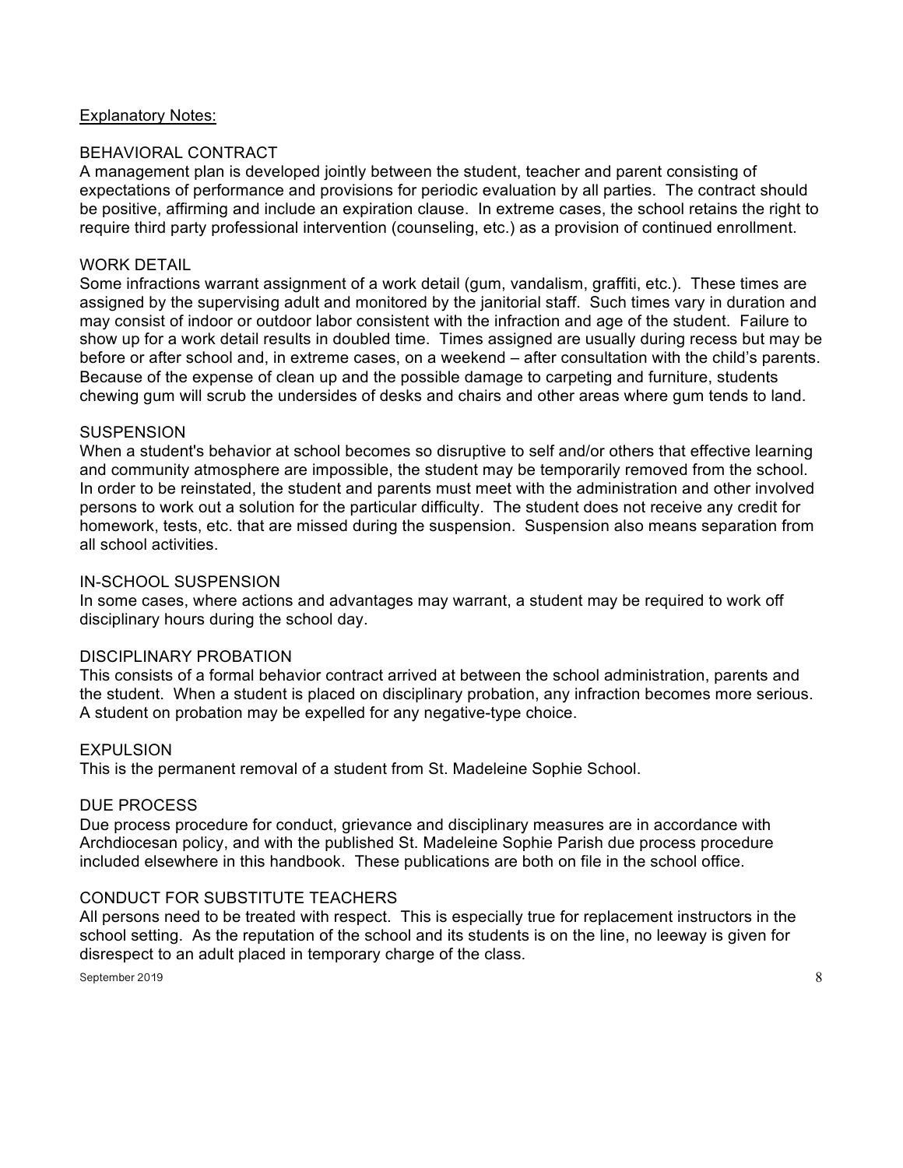#### Explanatory Notes:

#### BEHAVIORAL CONTRACT

A management plan is developed jointly between the student, teacher and parent consisting of expectations of performance and provisions for periodic evaluation by all parties. The contract should be positive, affirming and include an expiration clause. In extreme cases, the school retains the right to require third party professional intervention (counseling, etc.) as a provision of continued enrollment.

#### WORK DETAIL

Some infractions warrant assignment of a work detail (gum, vandalism, graffiti, etc.). These times are assigned by the supervising adult and monitored by the janitorial staff. Such times vary in duration and may consist of indoor or outdoor labor consistent with the infraction and age of the student. Failure to show up for a work detail results in doubled time. Times assigned are usually during recess but may be before or after school and, in extreme cases, on a weekend – after consultation with the child's parents. Because of the expense of clean up and the possible damage to carpeting and furniture, students chewing gum will scrub the undersides of desks and chairs and other areas where gum tends to land.

#### **SUSPENSION**

When a student's behavior at school becomes so disruptive to self and/or others that effective learning and community atmosphere are impossible, the student may be temporarily removed from the school. In order to be reinstated, the student and parents must meet with the administration and other involved persons to work out a solution for the particular difficulty. The student does not receive any credit for homework, tests, etc. that are missed during the suspension. Suspension also means separation from all school activities.

#### IN-SCHOOL SUSPENSION

In some cases, where actions and advantages may warrant, a student may be required to work off disciplinary hours during the school day.

#### DISCIPLINARY PROBATION

This consists of a formal behavior contract arrived at between the school administration, parents and the student. When a student is placed on disciplinary probation, any infraction becomes more serious. A student on probation may be expelled for any negative-type choice.

#### EXPULSION

This is the permanent removal of a student from St. Madeleine Sophie School.

#### DUE PROCESS

Due process procedure for conduct, grievance and disciplinary measures are in accordance with Archdiocesan policy, and with the published St. Madeleine Sophie Parish due process procedure included elsewhere in this handbook. These publications are both on file in the school office.

#### CONDUCT FOR SUBSTITUTE TEACHERS

All persons need to be treated with respect. This is especially true for replacement instructors in the school setting. As the reputation of the school and its students is on the line, no leeway is given for disrespect to an adult placed in temporary charge of the class.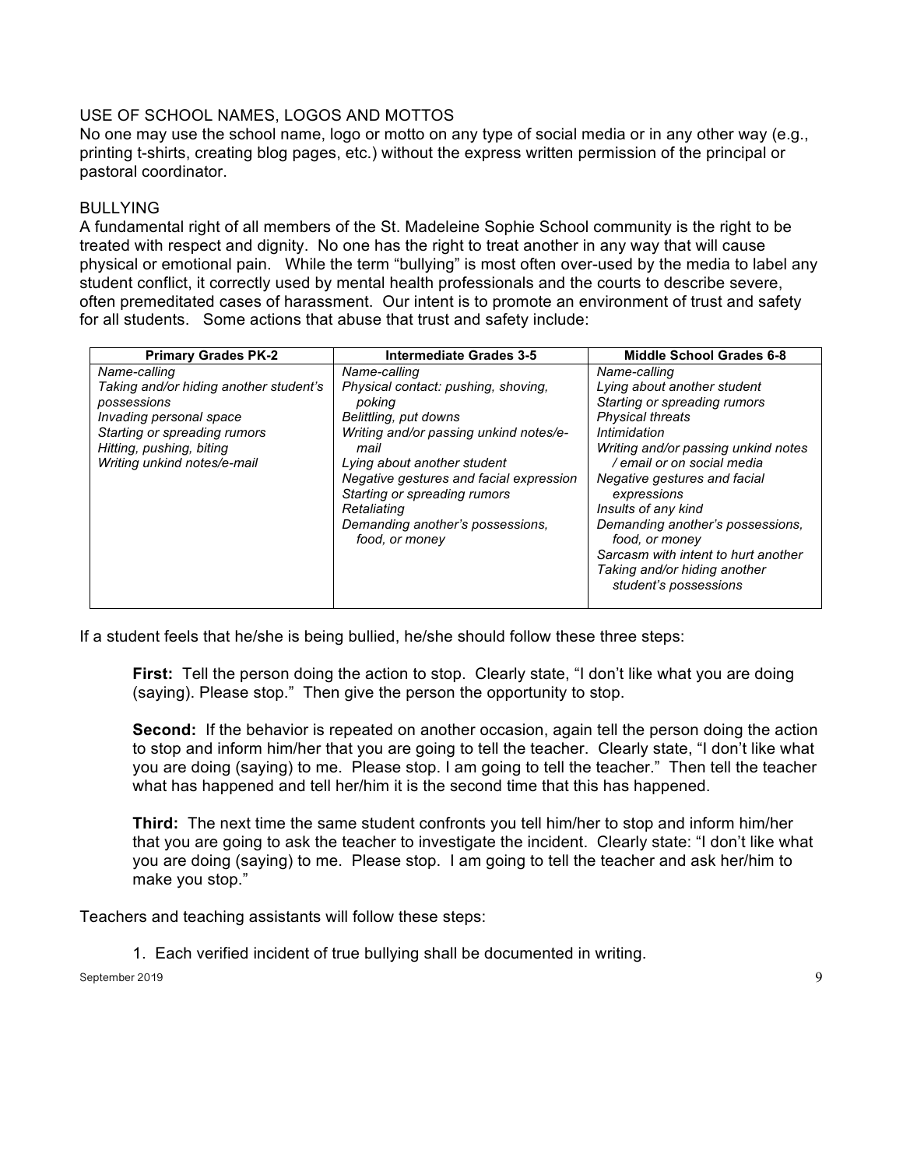## USE OF SCHOOL NAMES, LOGOS AND MOTTOS

No one may use the school name, logo or motto on any type of social media or in any other way (e.g., printing t-shirts, creating blog pages, etc.) without the express written permission of the principal or pastoral coordinator.

#### BULLYING

A fundamental right of all members of the St. Madeleine Sophie School community is the right to be treated with respect and dignity. No one has the right to treat another in any way that will cause physical or emotional pain. While the term "bullying" is most often over-used by the media to label any student conflict, it correctly used by mental health professionals and the courts to describe severe, often premeditated cases of harassment. Our intent is to promote an environment of trust and safety for all students. Some actions that abuse that trust and safety include:

| <b>Primary Grades PK-2</b>                                                                                                                                                                  | <b>Intermediate Grades 3-5</b>                                                                                                                                                                                                                                                                                          | <b>Middle School Grades 6-8</b>                                                                                                                                                                                                                                                                                                                                                                                         |
|---------------------------------------------------------------------------------------------------------------------------------------------------------------------------------------------|-------------------------------------------------------------------------------------------------------------------------------------------------------------------------------------------------------------------------------------------------------------------------------------------------------------------------|-------------------------------------------------------------------------------------------------------------------------------------------------------------------------------------------------------------------------------------------------------------------------------------------------------------------------------------------------------------------------------------------------------------------------|
| Name-calling<br>Taking and/or hiding another student's<br>possessions<br>Invading personal space<br>Starting or spreading rumors<br>Hitting, pushing, biting<br>Writing unkind notes/e-mail | Name-calling<br>Physical contact: pushing, shoving,<br>poking<br>Belittling, put downs<br>Writing and/or passing unkind notes/e-<br>mail<br>Lying about another student<br>Negative gestures and facial expression<br>Starting or spreading rumors<br>Retaliating<br>Demanding another's possessions,<br>food, or money | Name-calling<br>Lying about another student<br>Starting or spreading rumors<br><b>Physical threats</b><br>Intimidation<br>Writing and/or passing unkind notes<br>/ email or on social media<br>Negative gestures and facial<br>expressions<br>Insults of any kind<br>Demanding another's possessions,<br>food, or money<br>Sarcasm with intent to hurt another<br>Taking and/or hiding another<br>student's possessions |

If a student feels that he/she is being bullied, he/she should follow these three steps:

**First:** Tell the person doing the action to stop. Clearly state, "I don't like what you are doing (saying). Please stop." Then give the person the opportunity to stop.

**Second:** If the behavior is repeated on another occasion, again tell the person doing the action to stop and inform him/her that you are going to tell the teacher. Clearly state, "I don't like what you are doing (saying) to me. Please stop. I am going to tell the teacher." Then tell the teacher what has happened and tell her/him it is the second time that this has happened.

**Third:** The next time the same student confronts you tell him/her to stop and inform him/her that you are going to ask the teacher to investigate the incident. Clearly state: "I don't like what you are doing (saying) to me. Please stop. I am going to tell the teacher and ask her/him to make you stop."

Teachers and teaching assistants will follow these steps:

1. Each verified incident of true bullying shall be documented in writing.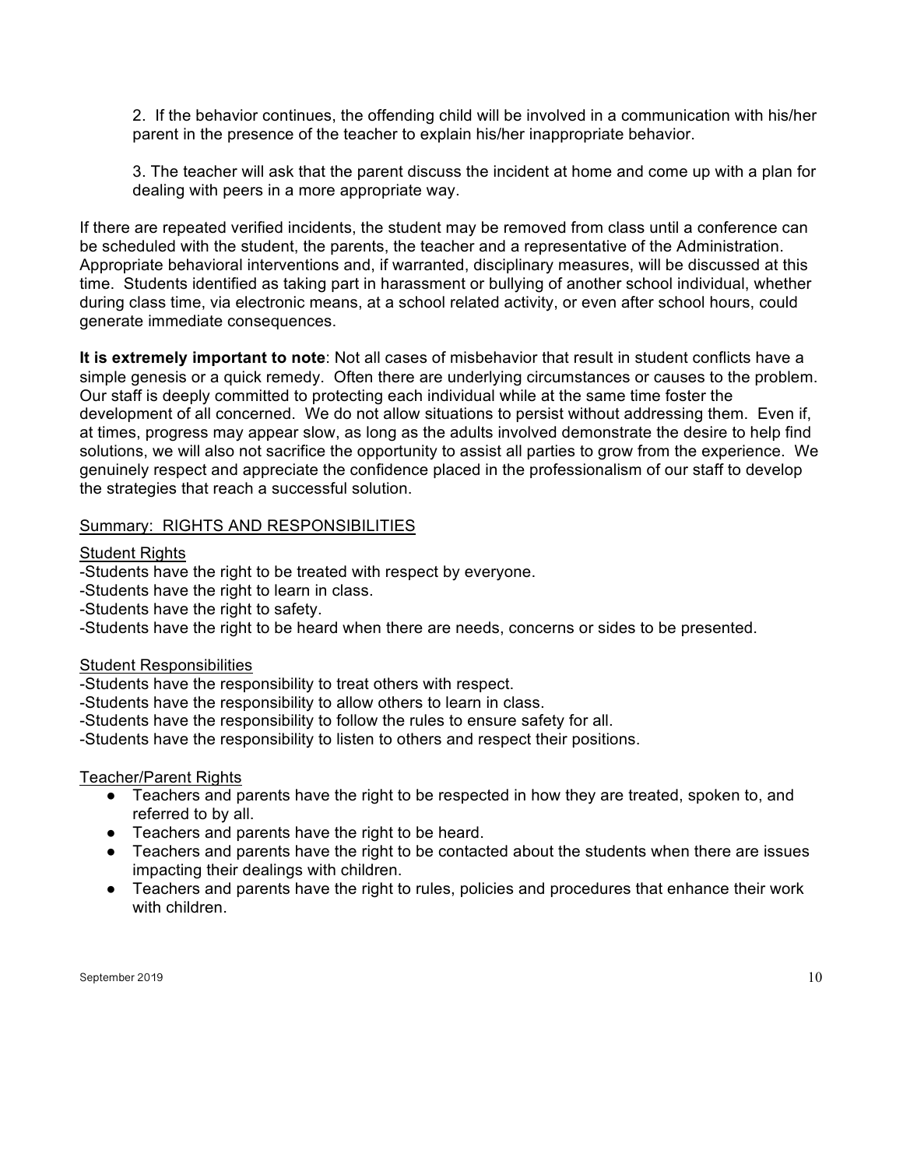2. If the behavior continues, the offending child will be involved in a communication with his/her parent in the presence of the teacher to explain his/her inappropriate behavior.

3. The teacher will ask that the parent discuss the incident at home and come up with a plan for dealing with peers in a more appropriate way.

If there are repeated verified incidents, the student may be removed from class until a conference can be scheduled with the student, the parents, the teacher and a representative of the Administration. Appropriate behavioral interventions and, if warranted, disciplinary measures, will be discussed at this time. Students identified as taking part in harassment or bullying of another school individual, whether during class time, via electronic means, at a school related activity, or even after school hours, could generate immediate consequences.

**It is extremely important to note**: Not all cases of misbehavior that result in student conflicts have a simple genesis or a quick remedy. Often there are underlying circumstances or causes to the problem. Our staff is deeply committed to protecting each individual while at the same time foster the development of all concerned. We do not allow situations to persist without addressing them. Even if, at times, progress may appear slow, as long as the adults involved demonstrate the desire to help find solutions, we will also not sacrifice the opportunity to assist all parties to grow from the experience. We genuinely respect and appreciate the confidence placed in the professionalism of our staff to develop the strategies that reach a successful solution.

#### Summary: RIGHTS AND RESPONSIBILITIES

#### Student Rights

-Students have the right to be treated with respect by everyone.

-Students have the right to learn in class.

-Students have the right to safety.

-Students have the right to be heard when there are needs, concerns or sides to be presented.

#### Student Responsibilities

-Students have the responsibility to treat others with respect.

-Students have the responsibility to allow others to learn in class.

-Students have the responsibility to follow the rules to ensure safety for all.

-Students have the responsibility to listen to others and respect their positions.

#### Teacher/Parent Rights

- Teachers and parents have the right to be respected in how they are treated, spoken to, and referred to by all.
- Teachers and parents have the right to be heard.
- Teachers and parents have the right to be contacted about the students when there are issues impacting their dealings with children.
- Teachers and parents have the right to rules, policies and procedures that enhance their work with children.

September 2019  $\hspace{1.5cm}$   $\hspace{1.5cm}$   $\hspace{1.5cm}$   $\hspace{1.5cm}$   $\hspace{1.5cm}$   $\hspace{1.5cm}$   $\hspace{1.5cm}$   $\hspace{1.5cm}$   $\hspace{1.5cm}$   $\hspace{1.5cm}$   $\hspace{1.5cm}$   $\hspace{1.5cm}$   $\hspace{1.5cm}$   $\hspace{1.5cm}$   $\hspace{1.5cm}$   $\hspace{1.5cm}$   $\hspace{1.5cm}$   $\$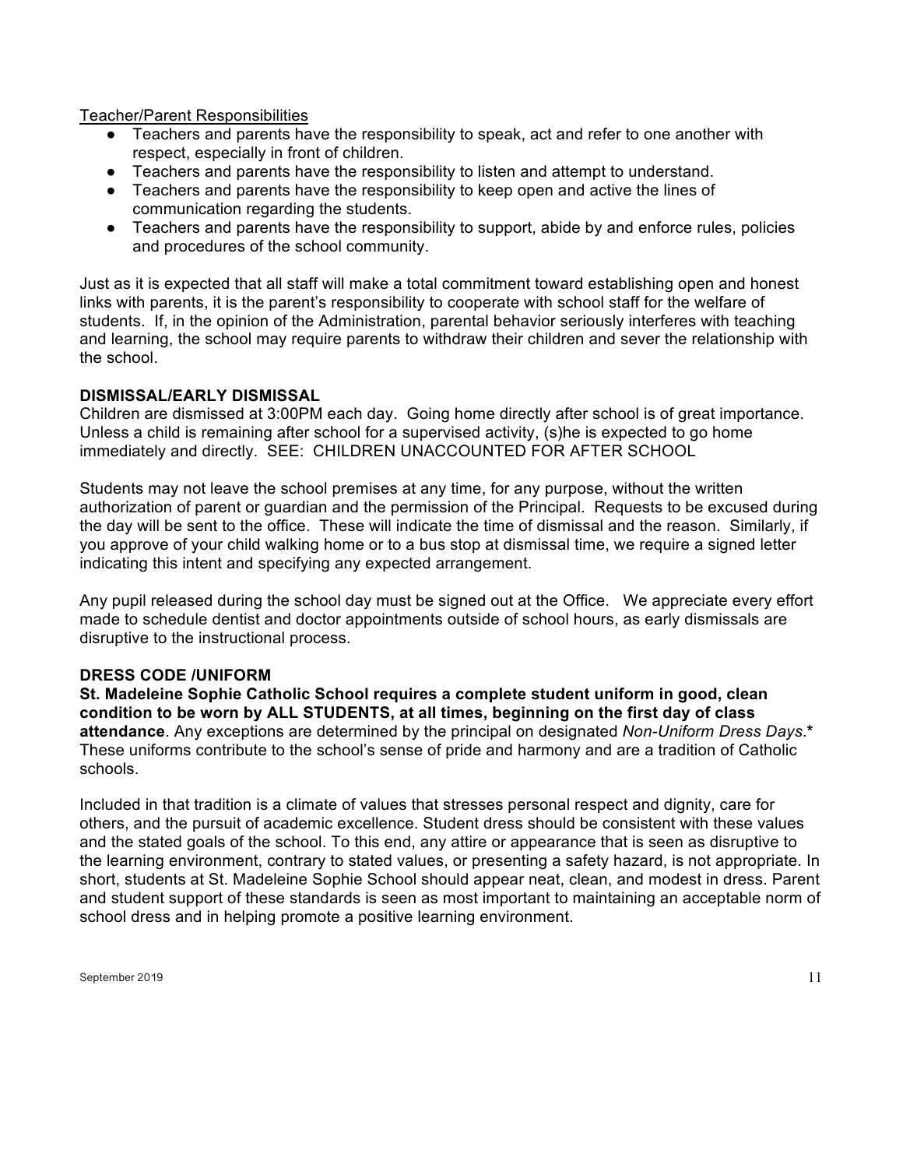Teacher/Parent Responsibilities

- Teachers and parents have the responsibility to speak, act and refer to one another with respect, especially in front of children.
- Teachers and parents have the responsibility to listen and attempt to understand.
- Teachers and parents have the responsibility to keep open and active the lines of communication regarding the students.
- Teachers and parents have the responsibility to support, abide by and enforce rules, policies and procedures of the school community.

Just as it is expected that all staff will make a total commitment toward establishing open and honest links with parents, it is the parent's responsibility to cooperate with school staff for the welfare of students. If, in the opinion of the Administration, parental behavior seriously interferes with teaching and learning, the school may require parents to withdraw their children and sever the relationship with the school.

#### **DISMISSAL/EARLY DISMISSAL**

Children are dismissed at 3:00PM each day. Going home directly after school is of great importance. Unless a child is remaining after school for a supervised activity, (s)he is expected to go home immediately and directly. SEE: CHILDREN UNACCOUNTED FOR AFTER SCHOOL

Students may not leave the school premises at any time, for any purpose, without the written authorization of parent or guardian and the permission of the Principal. Requests to be excused during the day will be sent to the office. These will indicate the time of dismissal and the reason. Similarly, if you approve of your child walking home or to a bus stop at dismissal time, we require a signed letter indicating this intent and specifying any expected arrangement.

Any pupil released during the school day must be signed out at the Office. We appreciate every effort made to schedule dentist and doctor appointments outside of school hours, as early dismissals are disruptive to the instructional process.

#### **DRESS CODE /UNIFORM**

**St. Madeleine Sophie Catholic School requires a complete student uniform in good, clean condition to be worn by ALL STUDENTS, at all times, beginning on the first day of class attendance**. Any exceptions are determined by the principal on designated *Non-Uniform Dress Days*.**\***  These uniforms contribute to the school's sense of pride and harmony and are a tradition of Catholic schools.

Included in that tradition is a climate of values that stresses personal respect and dignity, care for others, and the pursuit of academic excellence. Student dress should be consistent with these values and the stated goals of the school. To this end, any attire or appearance that is seen as disruptive to the learning environment, contrary to stated values, or presenting a safety hazard, is not appropriate. In short, students at St. Madeleine Sophie School should appear neat, clean, and modest in dress. Parent and student support of these standards is seen as most important to maintaining an acceptable norm of school dress and in helping promote a positive learning environment.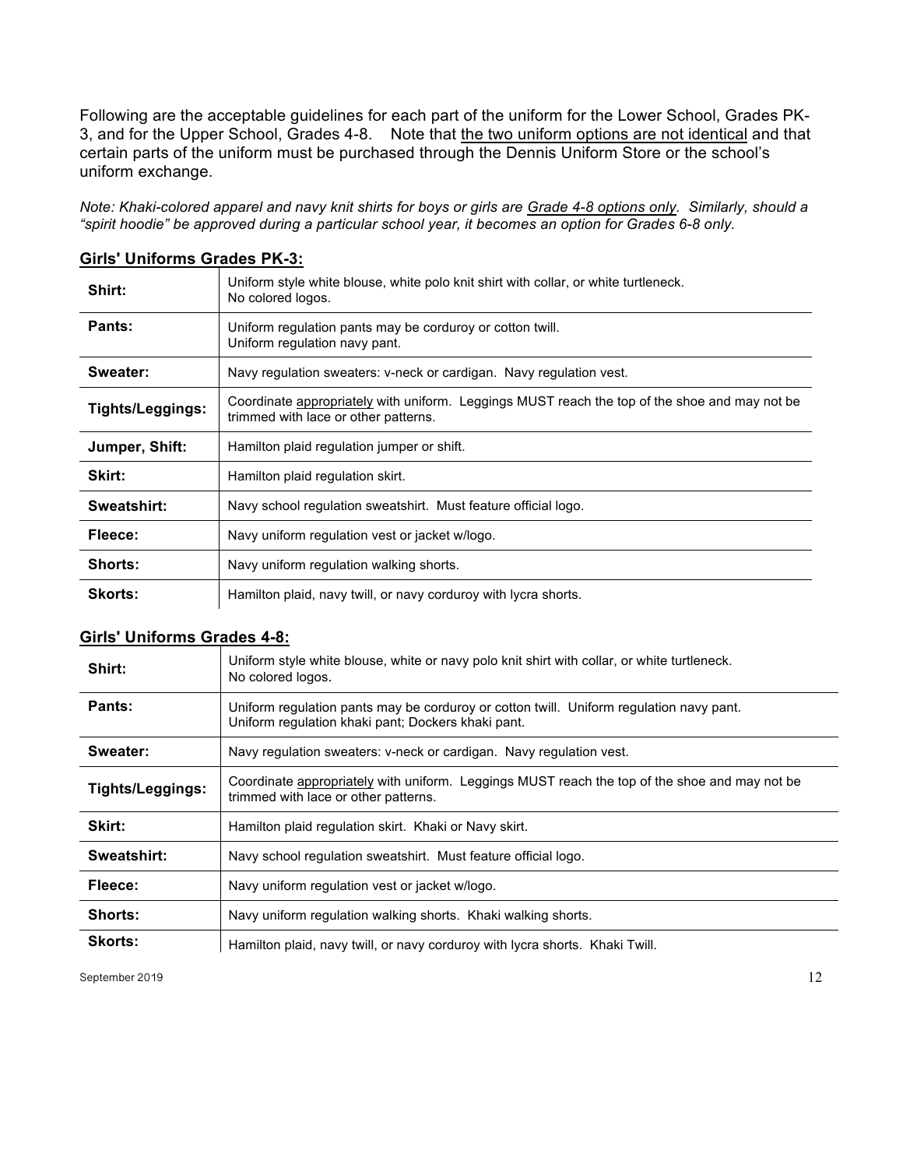Following are the acceptable guidelines for each part of the uniform for the Lower School, Grades PK-3, and for the Upper School, Grades 4-8. Note that the two uniform options are not identical and that certain parts of the uniform must be purchased through the Dennis Uniform Store or the school's uniform exchange.

*Note: Khaki-colored apparel and navy knit shirts for boys or girls are Grade 4-8 options only. Similarly, should a "spirit hoodie" be approved during a particular school year, it becomes an option for Grades 6-8 only.*

| Shirt:           | Uniform style white blouse, white polo knit shirt with collar, or white turtleneck.<br>No colored logos.                              |
|------------------|---------------------------------------------------------------------------------------------------------------------------------------|
| Pants:           | Uniform regulation pants may be corduroy or cotton twill.<br>Uniform regulation navy pant.                                            |
| Sweater:         | Navy regulation sweaters: v-neck or cardigan. Navy regulation vest.                                                                   |
| Tights/Leggings: | Coordinate appropriately with uniform. Leggings MUST reach the top of the shoe and may not be<br>trimmed with lace or other patterns. |
| Jumper, Shift:   | Hamilton plaid regulation jumper or shift.                                                                                            |
| Skirt:           | Hamilton plaid regulation skirt.                                                                                                      |
| Sweatshirt:      | Navy school regulation sweatshirt. Must feature official logo.                                                                        |
| Fleece:          | Navy uniform regulation vest or jacket w/logo.                                                                                        |
| <b>Shorts:</b>   | Navy uniform regulation walking shorts.                                                                                               |
| <b>Skorts:</b>   | Hamilton plaid, navy twill, or navy corduroy with lycra shorts.                                                                       |

#### **Girls' Uniforms Grades PK-3:**

#### **Girls' Uniforms Grades 4-8:**

| Shirt:           | Uniform style white blouse, white or navy polo knit shirt with collar, or white turtleneck.<br>No colored logos.                              |
|------------------|-----------------------------------------------------------------------------------------------------------------------------------------------|
| Pants:           | Uniform regulation pants may be corduroy or cotton twill. Uniform regulation navy pant.<br>Uniform regulation khaki pant; Dockers khaki pant. |
| Sweater:         | Navy regulation sweaters: v-neck or cardigan. Navy regulation vest.                                                                           |
| Tights/Leggings: | Coordinate appropriately with uniform. Leggings MUST reach the top of the shoe and may not be<br>trimmed with lace or other patterns.         |
| Skirt:           | Hamilton plaid regulation skirt. Khaki or Navy skirt.                                                                                         |
| Sweatshirt:      | Navy school regulation sweatshirt. Must feature official logo.                                                                                |
| Fleece:          | Navy uniform regulation vest or jacket w/logo.                                                                                                |
| Shorts:          | Navy uniform regulation walking shorts. Khaki walking shorts.                                                                                 |
| <b>Skorts:</b>   | Hamilton plaid, navy twill, or navy corduroy with lycra shorts. Khaki Twill.                                                                  |

September 2019  $\hspace{1.5cm}$  12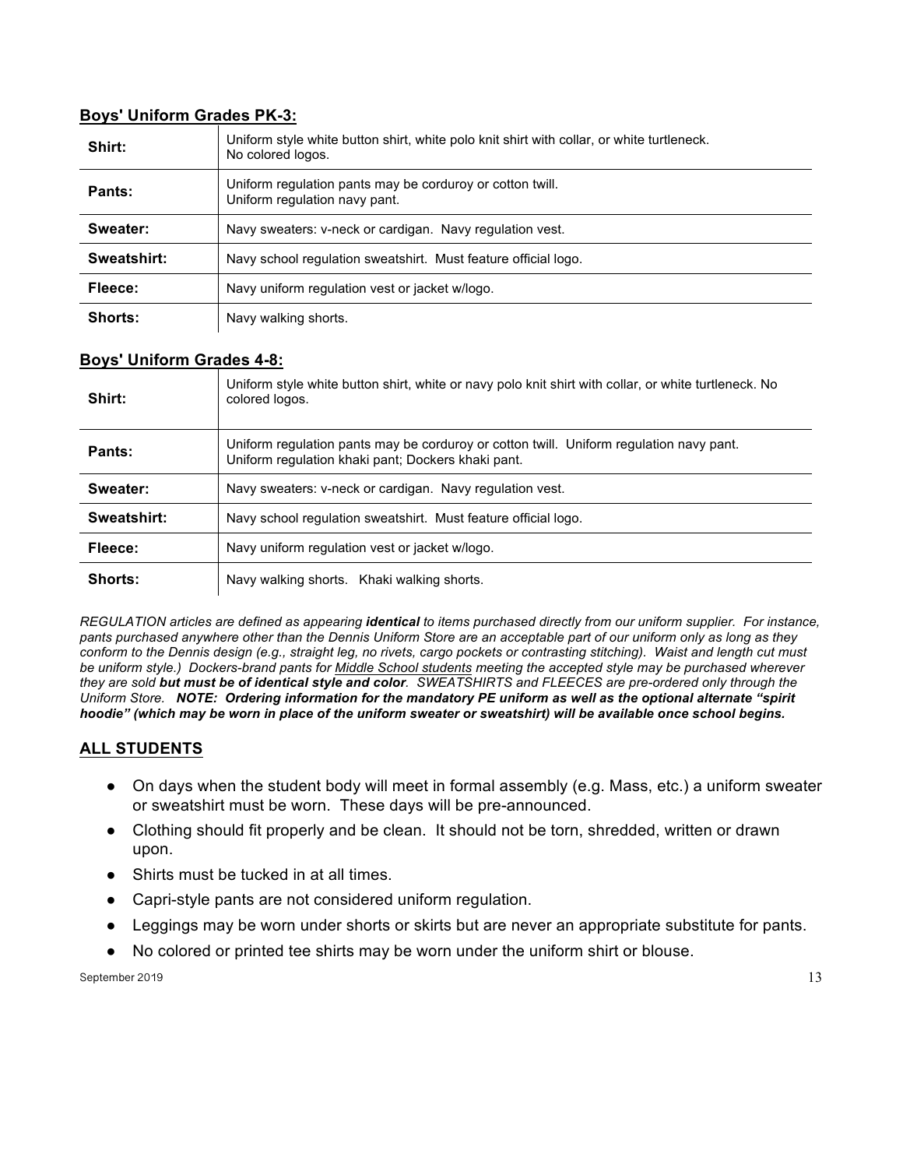#### **Boys' Uniform Grades PK-3:**

| Shirt:      | Uniform style white button shirt, white polo knit shirt with collar, or white turtleneck.<br>No colored logos. |
|-------------|----------------------------------------------------------------------------------------------------------------|
| Pants:      | Uniform regulation pants may be corduroy or cotton twill.<br>Uniform regulation navy pant.                     |
| Sweater:    | Navy sweaters: v-neck or cardigan. Navy regulation vest.                                                       |
| Sweatshirt: | Navy school regulation sweatshirt. Must feature official logo.                                                 |
| Fleece:     | Navy uniform regulation vest or jacket w/logo.                                                                 |
| Shorts:     | Navy walking shorts.                                                                                           |

#### **Boys' Uniform Grades 4-8:**

| Shirt:        | Uniform style white button shirt, white or navy polo knit shirt with collar, or white turtleneck. No<br>colored logos.                        |
|---------------|-----------------------------------------------------------------------------------------------------------------------------------------------|
| <b>Pants:</b> | Uniform regulation pants may be corduroy or cotton twill. Uniform regulation navy pant.<br>Uniform regulation khaki pant; Dockers khaki pant. |
| Sweater:      | Navy sweaters: v-neck or cardigan. Navy regulation vest.                                                                                      |
| Sweatshirt:   | Navy school regulation sweatshirt. Must feature official logo.                                                                                |
| Fleece:       | Navy uniform regulation vest or jacket w/logo.                                                                                                |
| Shorts:       | Navy walking shorts. Khaki walking shorts.                                                                                                    |

*REGULATION articles are defined as appearing identical to items purchased directly from our uniform supplier. For instance, pants purchased anywhere other than the Dennis Uniform Store are an acceptable part of our uniform only as long as they conform to the Dennis design (e.g., straight leg, no rivets, cargo pockets or contrasting stitching). Waist and length cut must be uniform style.) Dockers-brand pants for Middle School students meeting the accepted style may be purchased wherever they are sold but must be of identical style and color. SWEATSHIRTS and FLEECES are pre-ordered only through the Uniform Store. NOTE: Ordering information for the mandatory PE uniform as well as the optional alternate "spirit hoodie" (which may be worn in place of the uniform sweater or sweatshirt) will be available once school begins.*

## **ALL STUDENTS**

- On days when the student body will meet in formal assembly (e.g. Mass, etc.) a uniform sweater or sweatshirt must be worn. These days will be pre-announced.
- Clothing should fit properly and be clean. It should not be torn, shredded, written or drawn upon.
- Shirts must be tucked in at all times.
- Capri-style pants are not considered uniform regulation.
- Leggings may be worn under shorts or skirts but are never an appropriate substitute for pants.
- No colored or printed tee shirts may be worn under the uniform shirt or blouse.

September 2019  $\hspace{1.5cm}$  13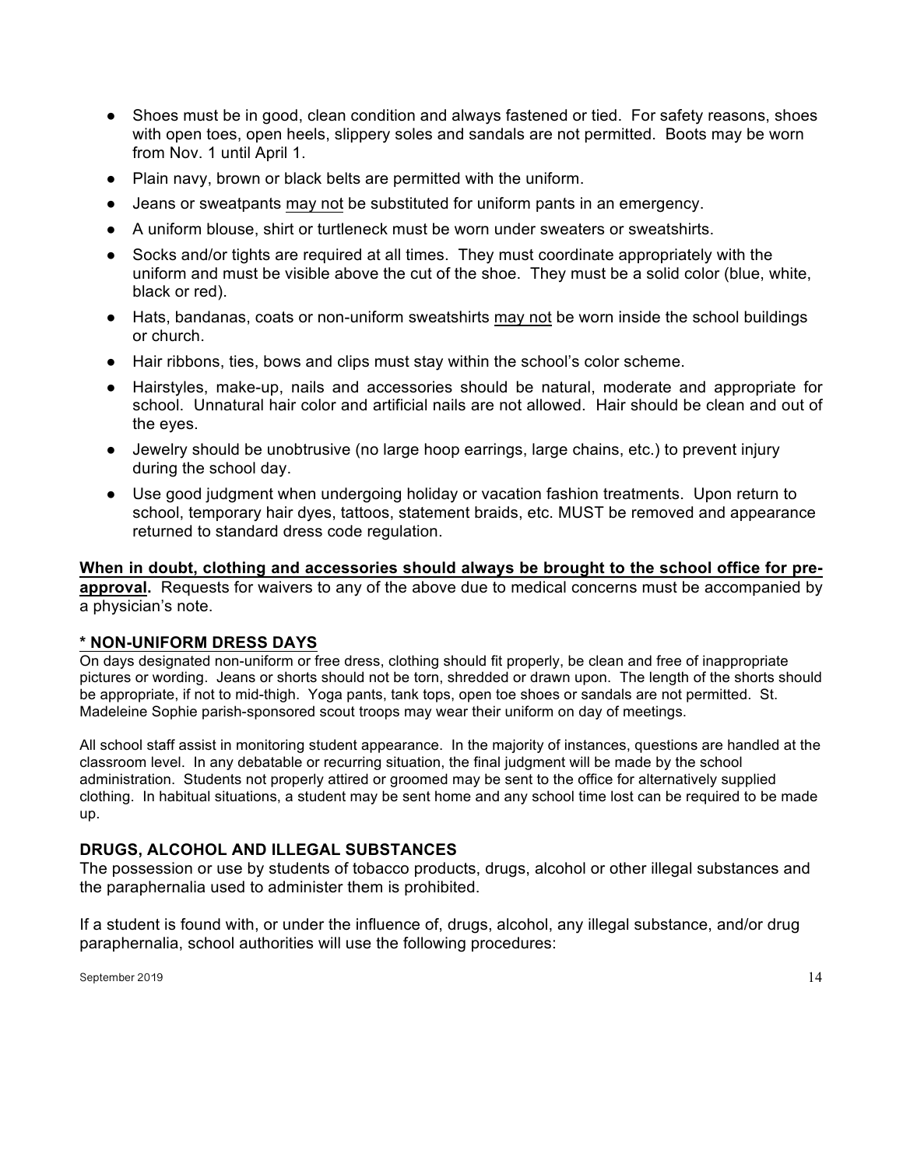- Shoes must be in good, clean condition and always fastened or tied. For safety reasons, shoes with open toes, open heels, slippery soles and sandals are not permitted. Boots may be worn from Nov. 1 until April 1.
- Plain navy, brown or black belts are permitted with the uniform.
- Jeans or sweatpants may not be substituted for uniform pants in an emergency.
- A uniform blouse, shirt or turtleneck must be worn under sweaters or sweatshirts.
- Socks and/or tights are required at all times. They must coordinate appropriately with the uniform and must be visible above the cut of the shoe. They must be a solid color (blue, white, black or red).
- Hats, bandanas, coats or non-uniform sweatshirts may not be worn inside the school buildings or church.
- Hair ribbons, ties, bows and clips must stay within the school's color scheme.
- Hairstyles, make-up, nails and accessories should be natural, moderate and appropriate for school. Unnatural hair color and artificial nails are not allowed. Hair should be clean and out of the eyes.
- Jewelry should be unobtrusive (no large hoop earrings, large chains, etc.) to prevent injury during the school day.
- Use good judgment when undergoing holiday or vacation fashion treatments. Upon return to school, temporary hair dyes, tattoos, statement braids, etc. MUST be removed and appearance returned to standard dress code regulation.

**When in doubt, clothing and accessories should always be brought to the school office for preapproval.** Requests for waivers to any of the above due to medical concerns must be accompanied by a physician's note.

#### **\* NON-UNIFORM DRESS DAYS**

On days designated non-uniform or free dress, clothing should fit properly, be clean and free of inappropriate pictures or wording. Jeans or shorts should not be torn, shredded or drawn upon. The length of the shorts should be appropriate, if not to mid-thigh. Yoga pants, tank tops, open toe shoes or sandals are not permitted.St. Madeleine Sophie parish-sponsored scout troops may wear their uniform on day of meetings.

All school staff assist in monitoring student appearance. In the majority of instances, questions are handled at the classroom level. In any debatable or recurring situation, the final judgment will be made by the school administration. Students not properly attired or groomed may be sent to the office for alternatively supplied clothing. In habitual situations, a student may be sent home and any school time lost can be required to be made up.

#### **DRUGS, ALCOHOL AND ILLEGAL SUBSTANCES**

The possession or use by students of tobacco products, drugs, alcohol or other illegal substances and the paraphernalia used to administer them is prohibited.

If a student is found with, or under the influence of, drugs, alcohol, any illegal substance, and/or drug paraphernalia, school authorities will use the following procedures: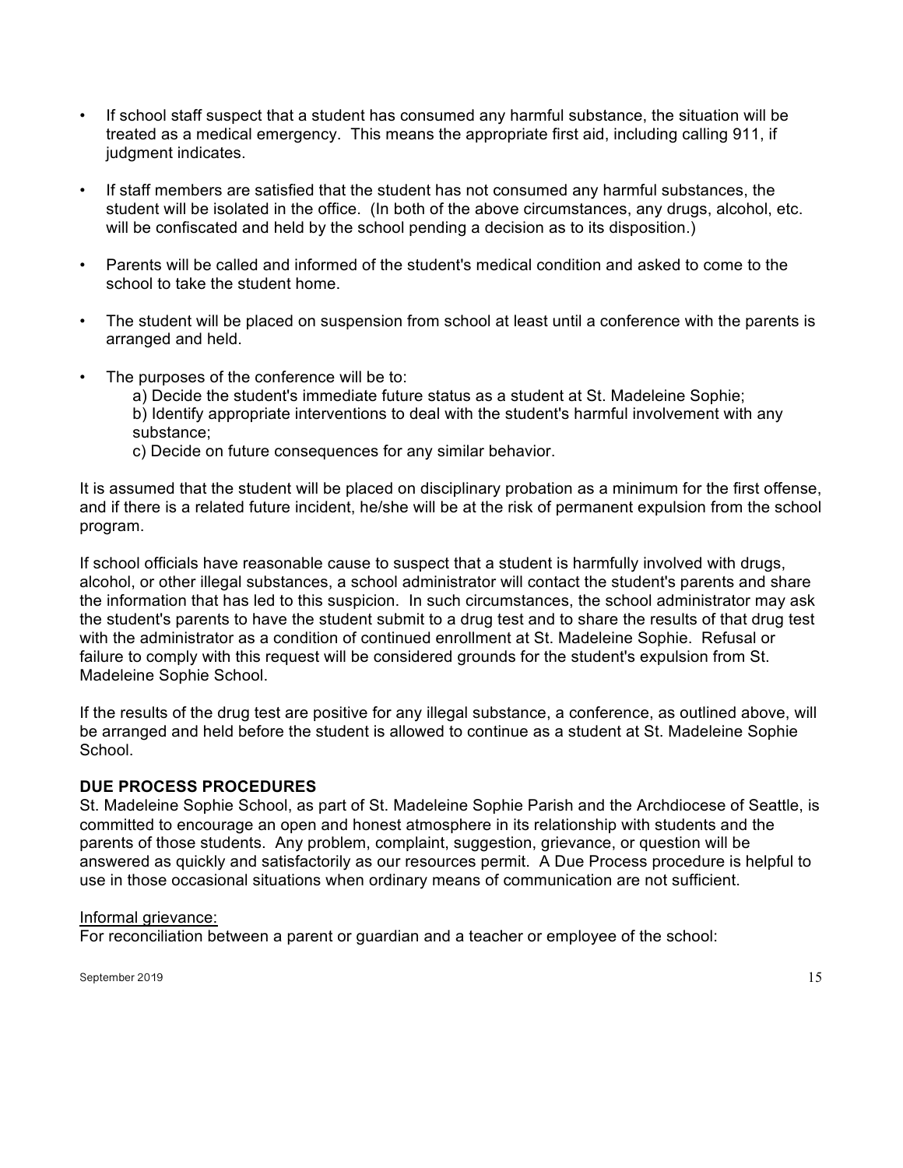- If school staff suspect that a student has consumed any harmful substance, the situation will be treated as a medical emergency. This means the appropriate first aid, including calling 911, if judgment indicates.
- If staff members are satisfied that the student has not consumed any harmful substances, the student will be isolated in the office. (In both of the above circumstances, any drugs, alcohol, etc. will be confiscated and held by the school pending a decision as to its disposition.)
- Parents will be called and informed of the student's medical condition and asked to come to the school to take the student home.
- The student will be placed on suspension from school at least until a conference with the parents is arranged and held.
- The purposes of the conference will be to:
	- a) Decide the student's immediate future status as a student at St. Madeleine Sophie; b) Identify appropriate interventions to deal with the student's harmful involvement with any substance;
	- c) Decide on future consequences for any similar behavior.

It is assumed that the student will be placed on disciplinary probation as a minimum for the first offense, and if there is a related future incident, he/she will be at the risk of permanent expulsion from the school program.

If school officials have reasonable cause to suspect that a student is harmfully involved with drugs, alcohol, or other illegal substances, a school administrator will contact the student's parents and share the information that has led to this suspicion. In such circumstances, the school administrator may ask the student's parents to have the student submit to a drug test and to share the results of that drug test with the administrator as a condition of continued enrollment at St. Madeleine Sophie. Refusal or failure to comply with this request will be considered grounds for the student's expulsion from St. Madeleine Sophie School.

If the results of the drug test are positive for any illegal substance, a conference, as outlined above, will be arranged and held before the student is allowed to continue as a student at St. Madeleine Sophie School.

## **DUE PROCESS PROCEDURES**

St. Madeleine Sophie School, as part of St. Madeleine Sophie Parish and the Archdiocese of Seattle, is committed to encourage an open and honest atmosphere in its relationship with students and the parents of those students. Any problem, complaint, suggestion, grievance, or question will be answered as quickly and satisfactorily as our resources permit. A Due Process procedure is helpful to use in those occasional situations when ordinary means of communication are not sufficient.

#### Informal grievance:

For reconciliation between a parent or guardian and a teacher or employee of the school:

September 2019  $\hspace{1.5cm}$  15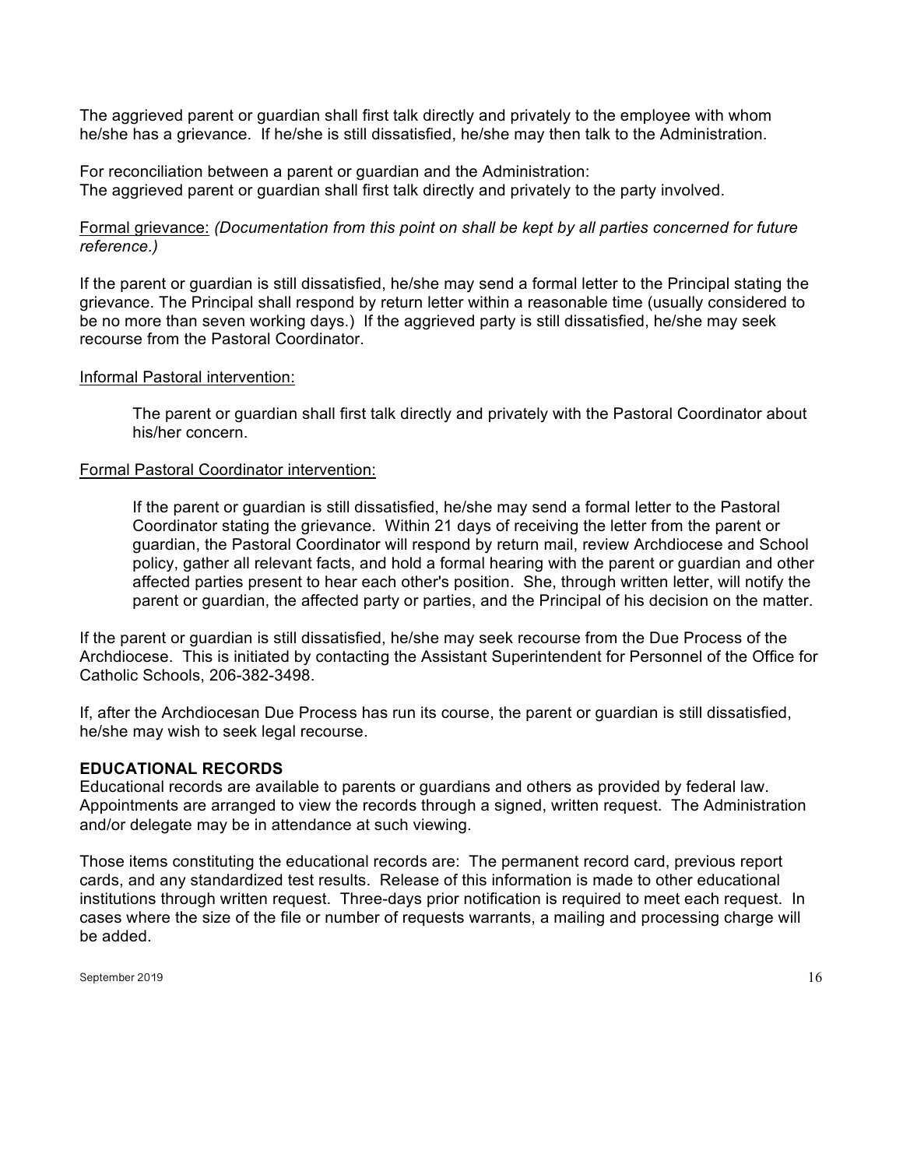The aggrieved parent or guardian shall first talk directly and privately to the employee with whom he/she has a grievance. If he/she is still dissatisfied, he/she may then talk to the Administration.

For reconciliation between a parent or guardian and the Administration: The aggrieved parent or guardian shall first talk directly and privately to the party involved.

Formal grievance: *(Documentation from this point on shall be kept by all parties concerned for future reference.)*

If the parent or guardian is still dissatisfied, he/she may send a formal letter to the Principal stating the grievance. The Principal shall respond by return letter within a reasonable time (usually considered to be no more than seven working days.) If the aggrieved party is still dissatisfied, he/she may seek recourse from the Pastoral Coordinator.

#### Informal Pastoral intervention:

The parent or guardian shall first talk directly and privately with the Pastoral Coordinator about his/her concern.

#### Formal Pastoral Coordinator intervention:

If the parent or guardian is still dissatisfied, he/she may send a formal letter to the Pastoral Coordinator stating the grievance. Within 21 days of receiving the letter from the parent or guardian, the Pastoral Coordinator will respond by return mail, review Archdiocese and School policy, gather all relevant facts, and hold a formal hearing with the parent or guardian and other affected parties present to hear each other's position. She, through written letter, will notify the parent or guardian, the affected party or parties, and the Principal of his decision on the matter.

If the parent or guardian is still dissatisfied, he/she may seek recourse from the Due Process of the Archdiocese. This is initiated by contacting the Assistant Superintendent for Personnel of the Office for Catholic Schools, 206-382-3498.

If, after the Archdiocesan Due Process has run its course, the parent or guardian is still dissatisfied, he/she may wish to seek legal recourse.

#### **EDUCATIONAL RECORDS**

Educational records are available to parents or guardians and others as provided by federal law. Appointments are arranged to view the records through a signed, written request. The Administration and/or delegate may be in attendance at such viewing.

Those items constituting the educational records are: The permanent record card, previous report cards, and any standardized test results. Release of this information is made to other educational institutions through written request. Three-days prior notification is required to meet each request. In cases where the size of the file or number of requests warrants, a mailing and processing charge will be added.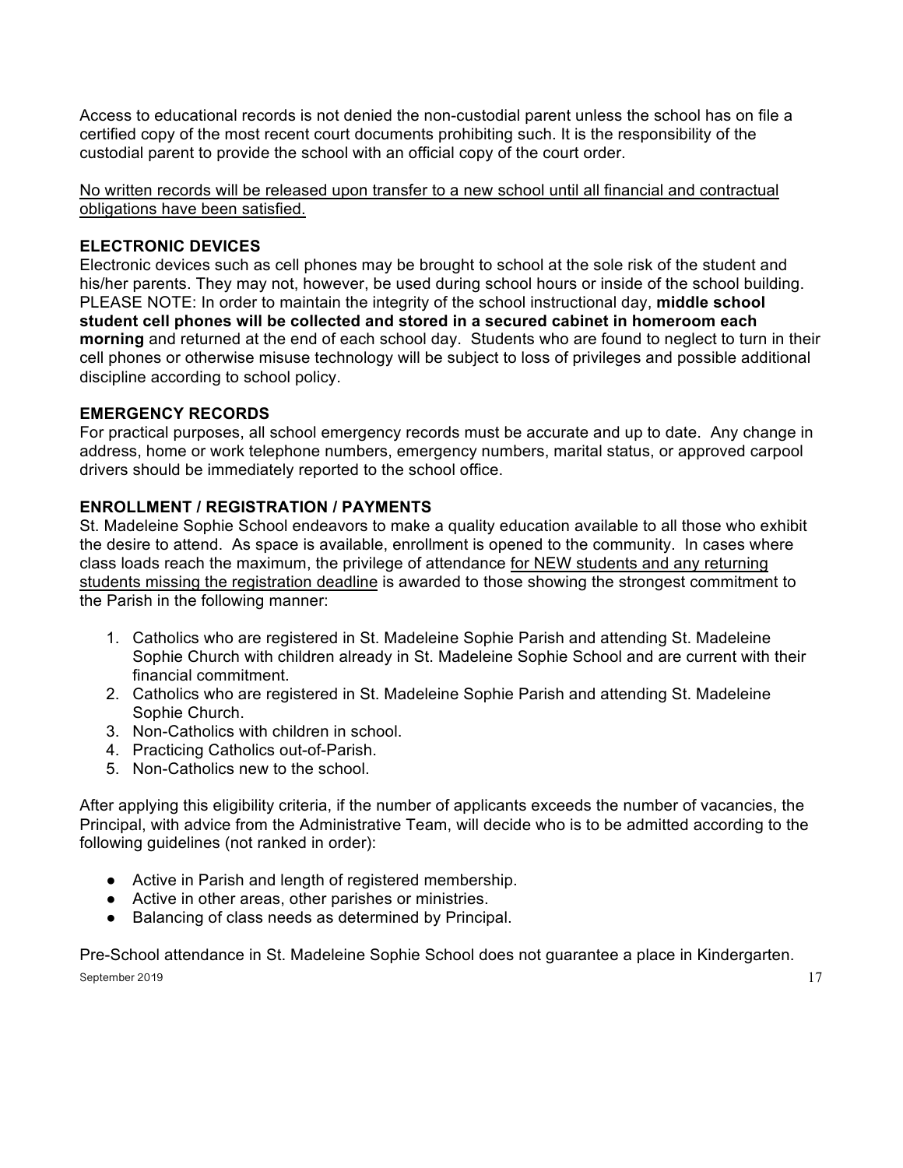Access to educational records is not denied the non-custodial parent unless the school has on file a certified copy of the most recent court documents prohibiting such. It is the responsibility of the custodial parent to provide the school with an official copy of the court order.

No written records will be released upon transfer to a new school until all financial and contractual obligations have been satisfied.

## **ELECTRONIC DEVICES**

Electronic devices such as cell phones may be brought to school at the sole risk of the student and his/her parents. They may not, however, be used during school hours or inside of the school building. PLEASE NOTE: In order to maintain the integrity of the school instructional day, **middle school student cell phones will be collected and stored in a secured cabinet in homeroom each morning** and returned at the end of each school day. Students who are found to neglect to turn in their cell phones or otherwise misuse technology will be subject to loss of privileges and possible additional discipline according to school policy.

## **EMERGENCY RECORDS**

For practical purposes, all school emergency records must be accurate and up to date. Any change in address, home or work telephone numbers, emergency numbers, marital status, or approved carpool drivers should be immediately reported to the school office.

## **ENROLLMENT / REGISTRATION / PAYMENTS**

St. Madeleine Sophie School endeavors to make a quality education available to all those who exhibit the desire to attend. As space is available, enrollment is opened to the community. In cases where class loads reach the maximum, the privilege of attendance for NEW students and any returning students missing the registration deadline is awarded to those showing the strongest commitment to the Parish in the following manner:

- 1. Catholics who are registered in St. Madeleine Sophie Parish and attending St. Madeleine Sophie Church with children already in St. Madeleine Sophie School and are current with their financial commitment.
- 2. Catholics who are registered in St. Madeleine Sophie Parish and attending St. Madeleine Sophie Church.
- 3. Non-Catholics with children in school.
- 4. Practicing Catholics out-of-Parish.
- 5. Non-Catholics new to the school.

After applying this eligibility criteria, if the number of applicants exceeds the number of vacancies, the Principal, with advice from the Administrative Team, will decide who is to be admitted according to the following guidelines (not ranked in order):

- Active in Parish and length of registered membership.
- Active in other areas, other parishes or ministries.
- Balancing of class needs as determined by Principal.

September 2019  $17$ Pre-School attendance in St. Madeleine Sophie School does not guarantee a place in Kindergarten.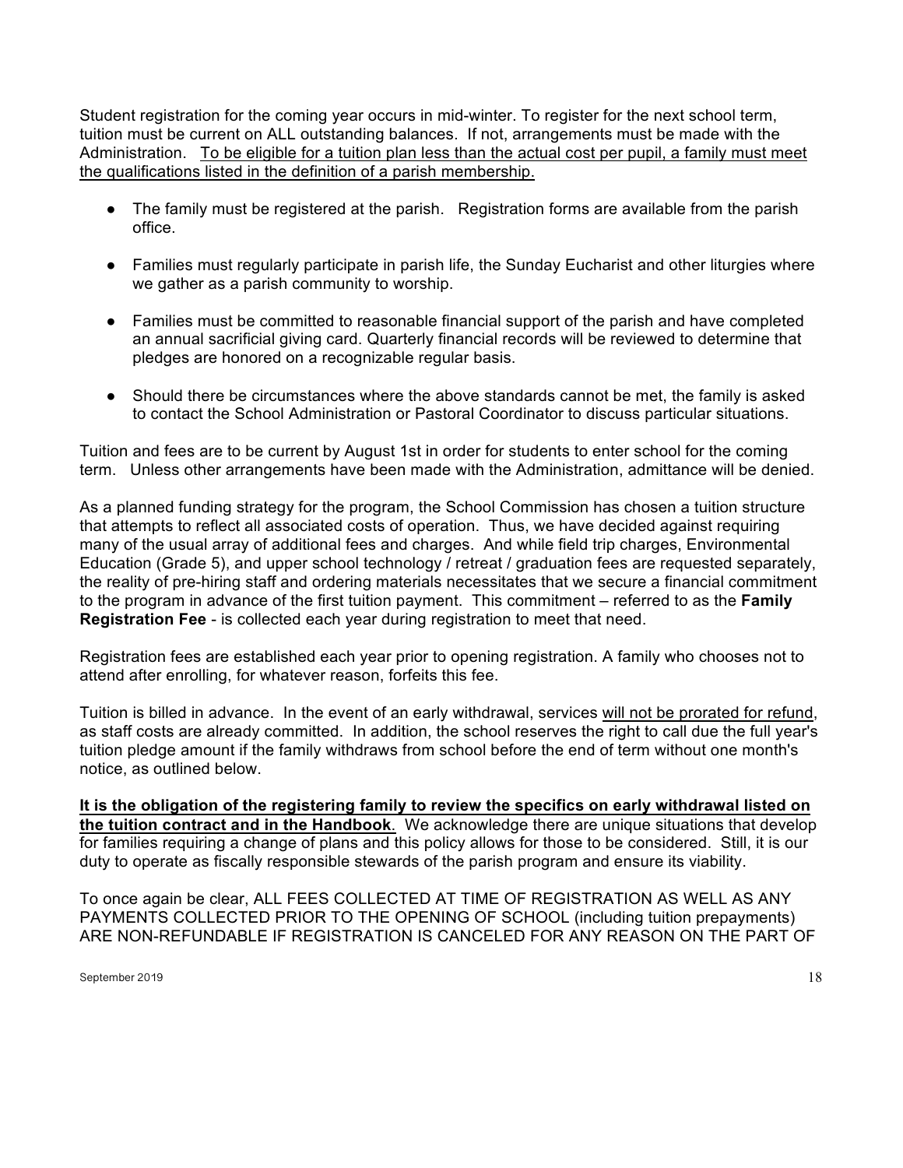Student registration for the coming year occurs in mid-winter. To register for the next school term, tuition must be current on ALL outstanding balances. If not, arrangements must be made with the Administration. To be eligible for a tuition plan less than the actual cost per pupil, a family must meet the qualifications listed in the definition of a parish membership.

- The family must be registered at the parish. Registration forms are available from the parish office.
- Families must regularly participate in parish life, the Sunday Eucharist and other liturgies where we gather as a parish community to worship.
- Families must be committed to reasonable financial support of the parish and have completed an annual sacrificial giving card. Quarterly financial records will be reviewed to determine that pledges are honored on a recognizable regular basis.
- Should there be circumstances where the above standards cannot be met, the family is asked to contact the School Administration or Pastoral Coordinator to discuss particular situations.

Tuition and fees are to be current by August 1st in order for students to enter school for the coming term. Unless other arrangements have been made with the Administration, admittance will be denied.

As a planned funding strategy for the program, the School Commission has chosen a tuition structure that attempts to reflect all associated costs of operation. Thus, we have decided against requiring many of the usual array of additional fees and charges. And while field trip charges, Environmental Education (Grade 5), and upper school technology / retreat / graduation fees are requested separately, the reality of pre-hiring staff and ordering materials necessitates that we secure a financial commitment to the program in advance of the first tuition payment. This commitment – referred to as the **Family Registration Fee** - is collected each year during registration to meet that need.

Registration fees are established each year prior to opening registration. A family who chooses not to attend after enrolling, for whatever reason, forfeits this fee.

Tuition is billed in advance. In the event of an early withdrawal, services will not be prorated for refund, as staff costs are already committed. In addition, the school reserves the right to call due the full year's tuition pledge amount if the family withdraws from school before the end of term without one month's notice, as outlined below.

**It is the obligation of the registering family to review the specifics on early withdrawal listed on the tuition contract and in the Handbook**. We acknowledge there are unique situations that develop for families requiring a change of plans and this policy allows for those to be considered. Still, it is our duty to operate as fiscally responsible stewards of the parish program and ensure its viability.

To once again be clear, ALL FEES COLLECTED AT TIME OF REGISTRATION AS WELL AS ANY PAYMENTS COLLECTED PRIOR TO THE OPENING OF SCHOOL (including tuition prepayments) ARE NON-REFUNDABLE IF REGISTRATION IS CANCELED FOR ANY REASON ON THE PART OF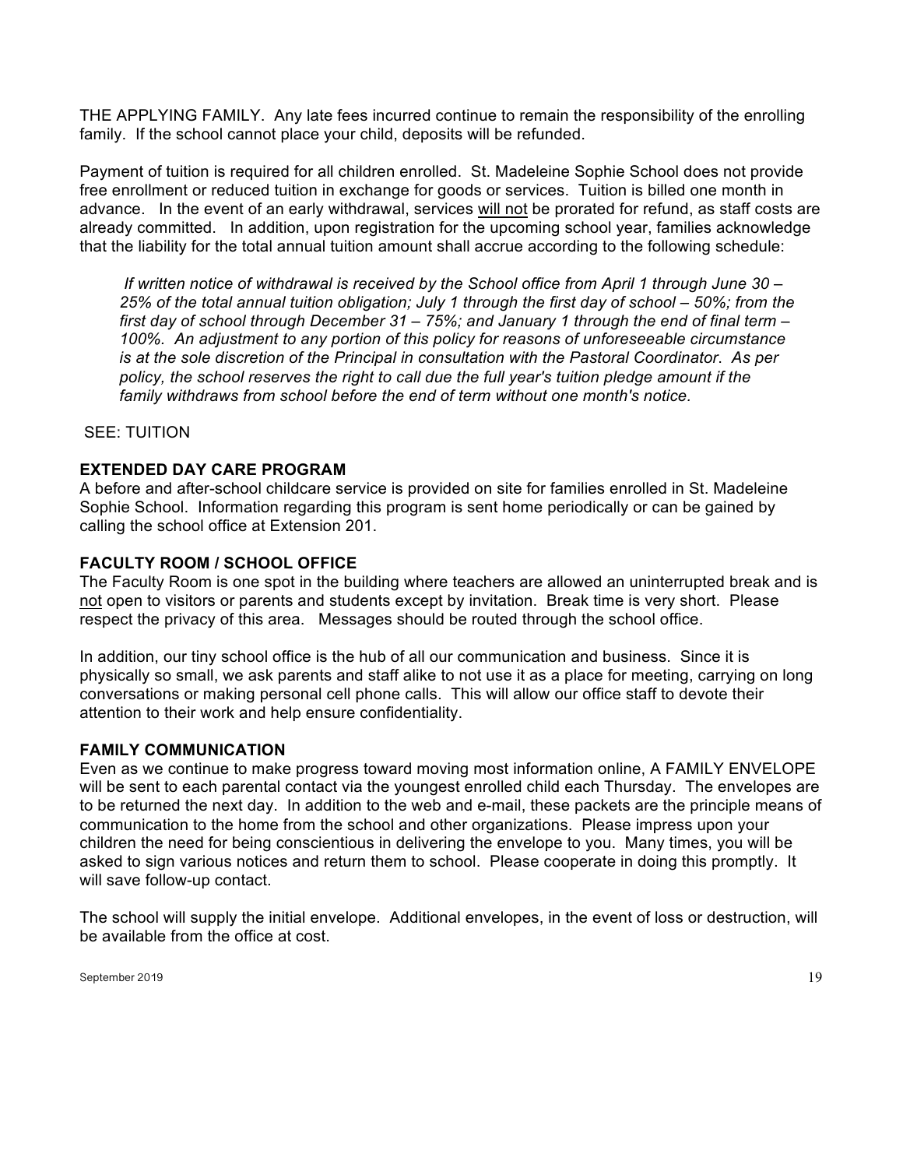THE APPLYING FAMILY. Any late fees incurred continue to remain the responsibility of the enrolling family. If the school cannot place your child, deposits will be refunded.

Payment of tuition is required for all children enrolled. St. Madeleine Sophie School does not provide free enrollment or reduced tuition in exchange for goods or services. Tuition is billed one month in advance. In the event of an early withdrawal, services will not be prorated for refund, as staff costs are already committed. In addition, upon registration for the upcoming school year, families acknowledge that the liability for the total annual tuition amount shall accrue according to the following schedule:

*If written notice of withdrawal is received by the School office from April 1 through June 30 – 25% of the total annual tuition obligation; July 1 through the first day of school – 50%; from the first day of school through December 31 – 75%; and January 1 through the end of final term – 100%. An adjustment to any portion of this policy for reasons of unforeseeable circumstance is at the sole discretion of the Principal in consultation with the Pastoral Coordinator*. *As per policy, the school reserves the right to call due the full year's tuition pledge amount if the family withdraws from school before the end of term without one month's notice.* 

SEE: TUITION

#### **EXTENDED DAY CARE PROGRAM**

A before and after-school childcare service is provided on site for families enrolled in St. Madeleine Sophie School. Information regarding this program is sent home periodically or can be gained by calling the school office at Extension 201.

#### **FACULTY ROOM / SCHOOL OFFICE**

The Faculty Room is one spot in the building where teachers are allowed an uninterrupted break and is not open to visitors or parents and students except by invitation. Break time is very short. Please respect the privacy of this area. Messages should be routed through the school office.

In addition, our tiny school office is the hub of all our communication and business. Since it is physically so small, we ask parents and staff alike to not use it as a place for meeting, carrying on long conversations or making personal cell phone calls. This will allow our office staff to devote their attention to their work and help ensure confidentiality.

#### **FAMILY COMMUNICATION**

Even as we continue to make progress toward moving most information online, A FAMILY ENVELOPE will be sent to each parental contact via the youngest enrolled child each Thursday. The envelopes are to be returned the next day. In addition to the web and e-mail, these packets are the principle means of communication to the home from the school and other organizations. Please impress upon your children the need for being conscientious in delivering the envelope to you. Many times, you will be asked to sign various notices and return them to school. Please cooperate in doing this promptly. It will save follow-up contact.

The school will supply the initial envelope. Additional envelopes, in the event of loss or destruction, will be available from the office at cost.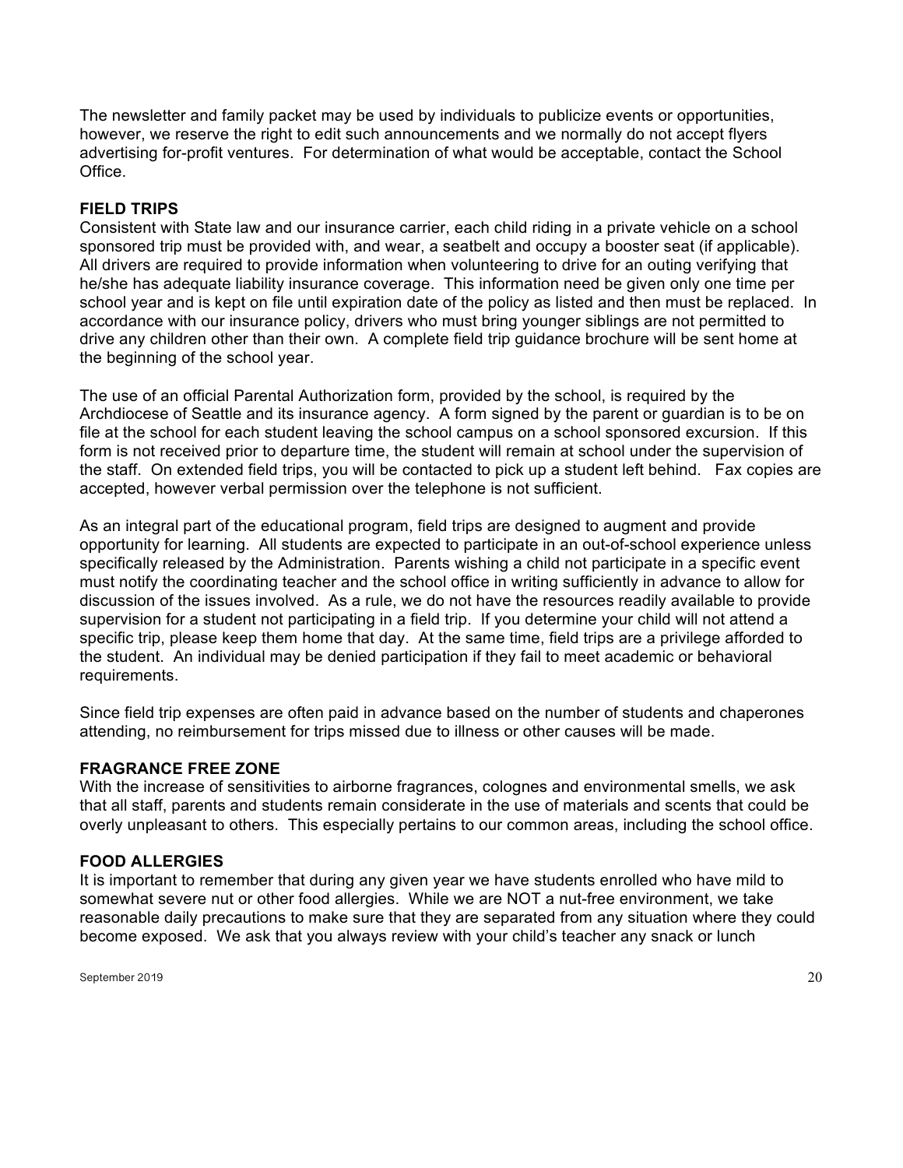The newsletter and family packet may be used by individuals to publicize events or opportunities, however, we reserve the right to edit such announcements and we normally do not accept flyers advertising for-profit ventures. For determination of what would be acceptable, contact the School Office.

#### **FIELD TRIPS**

Consistent with State law and our insurance carrier, each child riding in a private vehicle on a school sponsored trip must be provided with, and wear, a seatbelt and occupy a booster seat (if applicable). All drivers are required to provide information when volunteering to drive for an outing verifying that he/she has adequate liability insurance coverage. This information need be given only one time per school year and is kept on file until expiration date of the policy as listed and then must be replaced. In accordance with our insurance policy, drivers who must bring younger siblings are not permitted to drive any children other than their own. A complete field trip guidance brochure will be sent home at the beginning of the school year.

The use of an official Parental Authorization form, provided by the school, is required by the Archdiocese of Seattle and its insurance agency. A form signed by the parent or guardian is to be on file at the school for each student leaving the school campus on a school sponsored excursion. If this form is not received prior to departure time, the student will remain at school under the supervision of the staff. On extended field trips, you will be contacted to pick up a student left behind. Fax copies are accepted, however verbal permission over the telephone is not sufficient.

As an integral part of the educational program, field trips are designed to augment and provide opportunity for learning. All students are expected to participate in an out-of-school experience unless specifically released by the Administration. Parents wishing a child not participate in a specific event must notify the coordinating teacher and the school office in writing sufficiently in advance to allow for discussion of the issues involved. As a rule, we do not have the resources readily available to provide supervision for a student not participating in a field trip. If you determine your child will not attend a specific trip, please keep them home that day. At the same time, field trips are a privilege afforded to the student. An individual may be denied participation if they fail to meet academic or behavioral requirements.

Since field trip expenses are often paid in advance based on the number of students and chaperones attending, no reimbursement for trips missed due to illness or other causes will be made.

#### **FRAGRANCE FREE ZONE**

With the increase of sensitivities to airborne fragrances, colognes and environmental smells, we ask that all staff, parents and students remain considerate in the use of materials and scents that could be overly unpleasant to others. This especially pertains to our common areas, including the school office.

#### **FOOD ALLERGIES**

It is important to remember that during any given year we have students enrolled who have mild to somewhat severe nut or other food allergies. While we are NOT a nut-free environment, we take reasonable daily precautions to make sure that they are separated from any situation where they could become exposed. We ask that you always review with your child's teacher any snack or lunch

September 2019 $\qquad \qquad \qquad \qquad 20$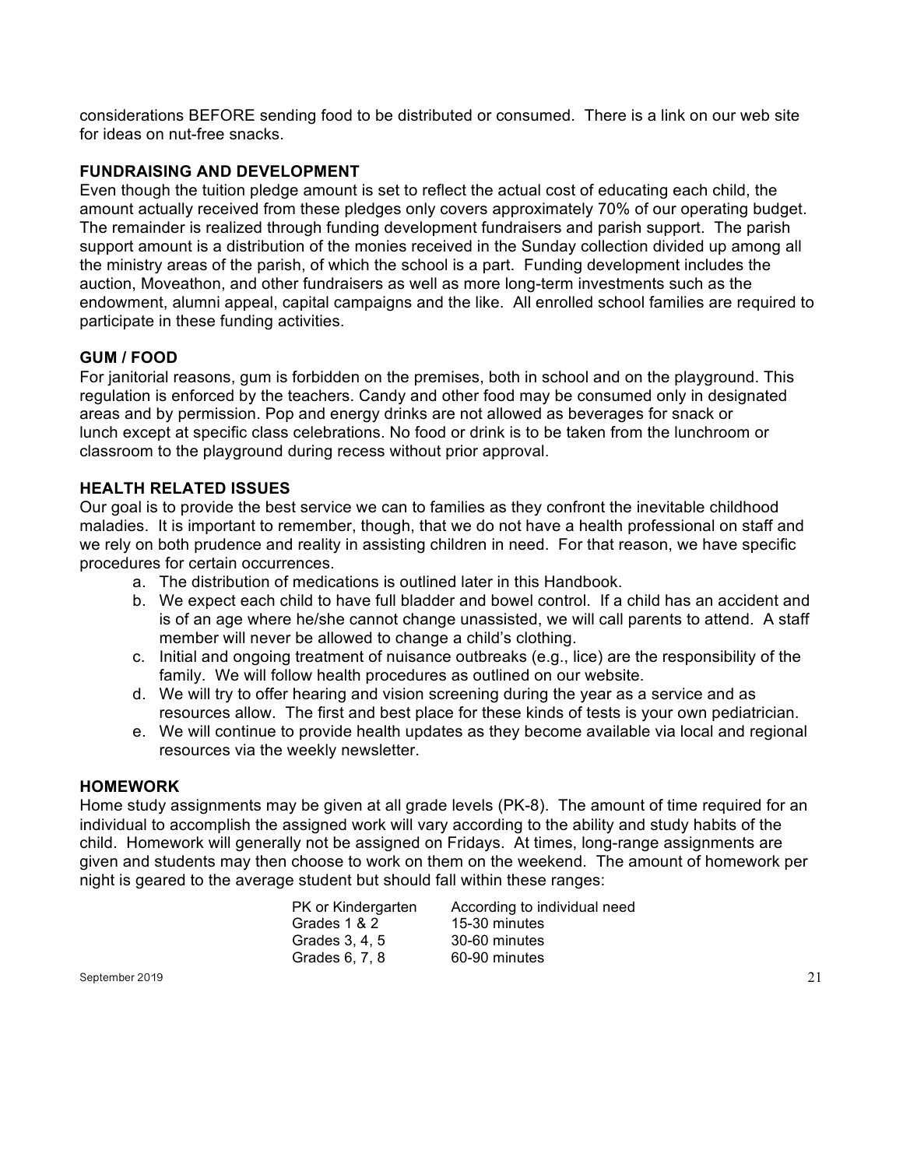considerations BEFORE sending food to be distributed or consumed. There is a link on our web site for ideas on nut-free snacks.

## **FUNDRAISING AND DEVELOPMENT**

Even though the tuition pledge amount is set to reflect the actual cost of educating each child, the amount actually received from these pledges only covers approximately 70% of our operating budget. The remainder is realized through funding development fundraisers and parish support. The parish support amount is a distribution of the monies received in the Sunday collection divided up among all the ministry areas of the parish, of which the school is a part. Funding development includes the auction, Moveathon, and other fundraisers as well as more long-term investments such as the endowment, alumni appeal, capital campaigns and the like. All enrolled school families are required to participate in these funding activities.

## **GUM / FOOD**

For janitorial reasons, gum is forbidden on the premises, both in school and on the playground. This regulation is enforced by the teachers. Candy and other food may be consumed only in designated areas and by permission. Pop and energy drinks are not allowed as beverages for snack or lunch except at specific class celebrations. No food or drink is to be taken from the lunchroom or classroom to the playground during recess without prior approval.

## **HEALTH RELATED ISSUES**

Our goal is to provide the best service we can to families as they confront the inevitable childhood maladies. It is important to remember, though, that we do not have a health professional on staff and we rely on both prudence and reality in assisting children in need. For that reason, we have specific procedures for certain occurrences.

- a. The distribution of medications is outlined later in this Handbook.
- b. We expect each child to have full bladder and bowel control. If a child has an accident and is of an age where he/she cannot change unassisted, we will call parents to attend. A staff member will never be allowed to change a child's clothing.
- c. Initial and ongoing treatment of nuisance outbreaks (e.g., lice) are the responsibility of the family. We will follow health procedures as outlined on our website.
- d. We will try to offer hearing and vision screening during the year as a service and as resources allow. The first and best place for these kinds of tests is your own pediatrician.
- e. We will continue to provide health updates as they become available via local and regional resources via the weekly newsletter.

## **HOMEWORK**

Home study assignments may be given at all grade levels (PK-8). The amount of time required for an individual to accomplish the assigned work will vary according to the ability and study habits of the child. Homework will generally not be assigned on Fridays. At times, long-range assignments are given and students may then choose to work on them on the weekend. The amount of homework per night is geared to the average student but should fall within these ranges:

| PK or Kindergarten | According to individual need |
|--------------------|------------------------------|
| Grades 1 & 2       | 15-30 minutes                |
| Grades 3, 4, 5     | 30-60 minutes                |
| Grades 6, 7, 8     | 60-90 minutes                |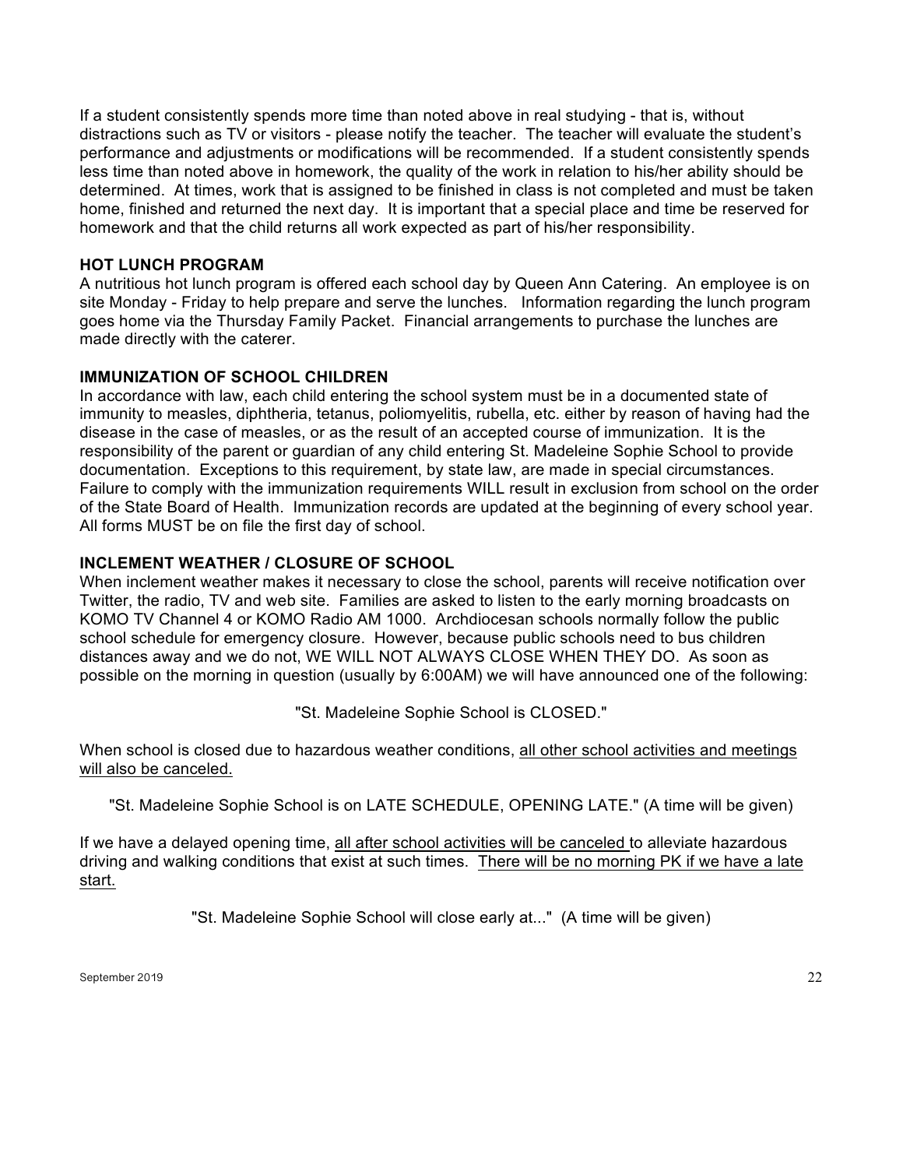If a student consistently spends more time than noted above in real studying - that is, without distractions such as TV or visitors - please notify the teacher. The teacher will evaluate the student's performance and adjustments or modifications will be recommended. If a student consistently spends less time than noted above in homework, the quality of the work in relation to his/her ability should be determined. At times, work that is assigned to be finished in class is not completed and must be taken home, finished and returned the next day. It is important that a special place and time be reserved for homework and that the child returns all work expected as part of his/her responsibility.

#### **HOT LUNCH PROGRAM**

A nutritious hot lunch program is offered each school day by Queen Ann Catering. An employee is on site Monday - Friday to help prepare and serve the lunches. Information regarding the lunch program goes home via the Thursday Family Packet. Financial arrangements to purchase the lunches are made directly with the caterer.

## **IMMUNIZATION OF SCHOOL CHILDREN**

In accordance with law, each child entering the school system must be in a documented state of immunity to measles, diphtheria, tetanus, poliomyelitis, rubella, etc. either by reason of having had the disease in the case of measles, or as the result of an accepted course of immunization. It is the responsibility of the parent or guardian of any child entering St. Madeleine Sophie School to provide documentation. Exceptions to this requirement, by state law, are made in special circumstances. Failure to comply with the immunization requirements WILL result in exclusion from school on the order of the State Board of Health. Immunization records are updated at the beginning of every school year. All forms MUST be on file the first day of school.

## **INCLEMENT WEATHER / CLOSURE OF SCHOOL**

When inclement weather makes it necessary to close the school, parents will receive notification over Twitter, the radio, TV and web site. Families are asked to listen to the early morning broadcasts on KOMO TV Channel 4 or KOMO Radio AM 1000. Archdiocesan schools normally follow the public school schedule for emergency closure. However, because public schools need to bus children distances away and we do not, WE WILL NOT ALWAYS CLOSE WHEN THEY DO. As soon as possible on the morning in question (usually by 6:00AM) we will have announced one of the following:

"St. Madeleine Sophie School is CLOSED."

When school is closed due to hazardous weather conditions, all other school activities and meetings will also be canceled.

"St. Madeleine Sophie School is on LATE SCHEDULE, OPENING LATE." (A time will be given)

If we have a delayed opening time, all after school activities will be canceled to alleviate hazardous driving and walking conditions that exist at such times. There will be no morning PK if we have a late start.

"St. Madeleine Sophie School will close early at..." (A time will be given)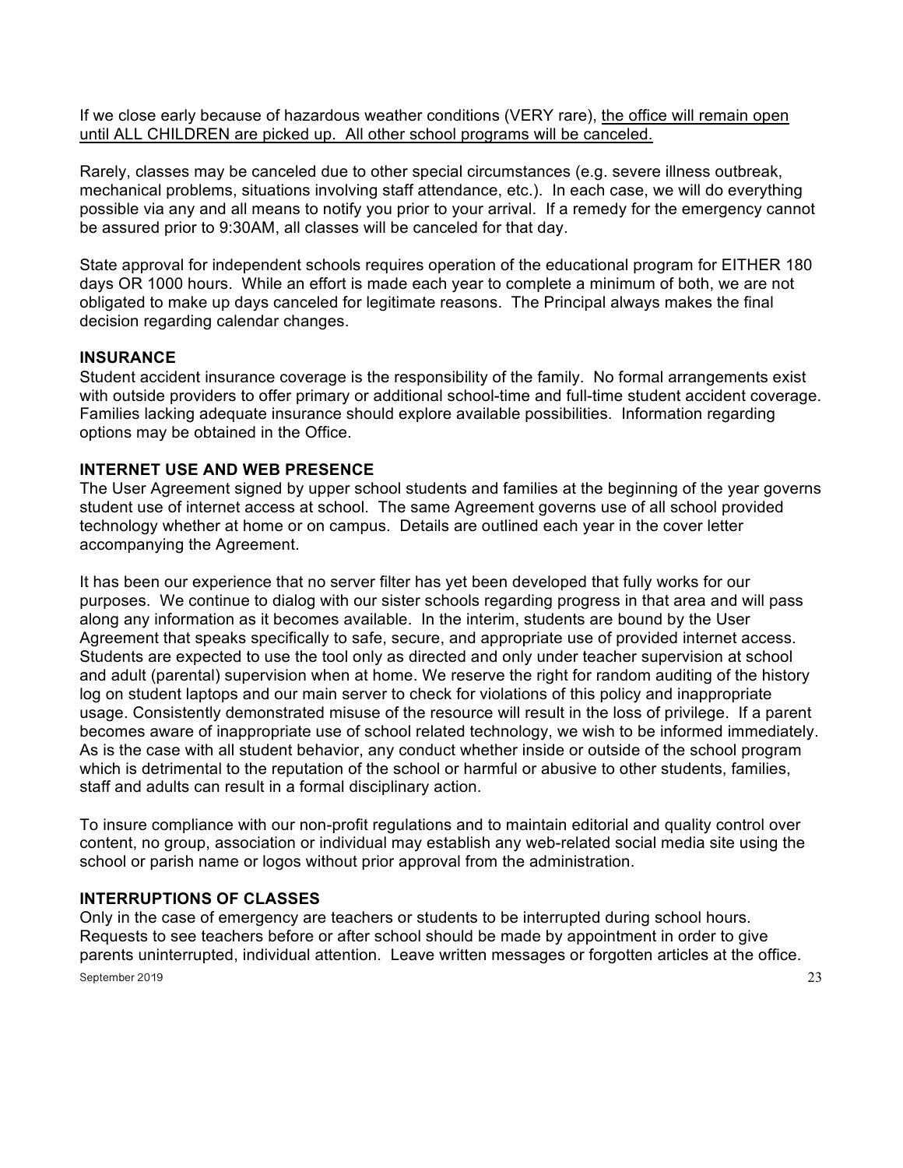If we close early because of hazardous weather conditions (VERY rare), the office will remain open until ALL CHILDREN are picked up. All other school programs will be canceled.

Rarely, classes may be canceled due to other special circumstances (e.g. severe illness outbreak, mechanical problems, situations involving staff attendance, etc.). In each case, we will do everything possible via any and all means to notify you prior to your arrival. If a remedy for the emergency cannot be assured prior to 9:30AM, all classes will be canceled for that day.

State approval for independent schools requires operation of the educational program for EITHER 180 days OR 1000 hours. While an effort is made each year to complete a minimum of both, we are not obligated to make up days canceled for legitimate reasons. The Principal always makes the final decision regarding calendar changes.

#### **INSURANCE**

Student accident insurance coverage is the responsibility of the family. No formal arrangements exist with outside providers to offer primary or additional school-time and full-time student accident coverage. Families lacking adequate insurance should explore available possibilities. Information regarding options may be obtained in the Office.

#### **INTERNET USE AND WEB PRESENCE**

The User Agreement signed by upper school students and families at the beginning of the year governs student use of internet access at school. The same Agreement governs use of all school provided technology whether at home or on campus. Details are outlined each year in the cover letter accompanying the Agreement.

It has been our experience that no server filter has yet been developed that fully works for our purposes. We continue to dialog with our sister schools regarding progress in that area and will pass along any information as it becomes available. In the interim, students are bound by the User Agreement that speaks specifically to safe, secure, and appropriate use of provided internet access. Students are expected to use the tool only as directed and only under teacher supervision at school and adult (parental) supervision when at home. We reserve the right for random auditing of the history log on student laptops and our main server to check for violations of this policy and inappropriate usage. Consistently demonstrated misuse of the resource will result in the loss of privilege. If a parent becomes aware of inappropriate use of school related technology, we wish to be informed immediately. As is the case with all student behavior, any conduct whether inside or outside of the school program which is detrimental to the reputation of the school or harmful or abusive to other students, families, staff and adults can result in a formal disciplinary action.

To insure compliance with our non-profit regulations and to maintain editorial and quality control over content, no group, association or individual may establish any web-related social media site using the school or parish name or logos without prior approval from the administration.

#### **INTERRUPTIONS OF CLASSES**

September 2019  $\hspace{1.5cm}$   $\hspace{1.5cm}$   $\hspace{1.5cm}$   $\hspace{1.5cm}$   $\hspace{1.5cm}$   $\hspace{1.5cm}$   $\hspace{1.5cm}$   $\hspace{1.5cm}$   $\hspace{1.5cm}$   $\hspace{1.5cm}$   $\hspace{1.5cm}$   $\hspace{1.5cm}$   $\hspace{1.5cm}$   $\hspace{1.5cm}$   $\hspace{1.5cm}$   $\hspace{1.5cm}$   $\hspace{1.5cm}$   $\$ Only in the case of emergency are teachers or students to be interrupted during school hours. Requests to see teachers before or after school should be made by appointment in order to give parents uninterrupted, individual attention. Leave written messages or forgotten articles at the office.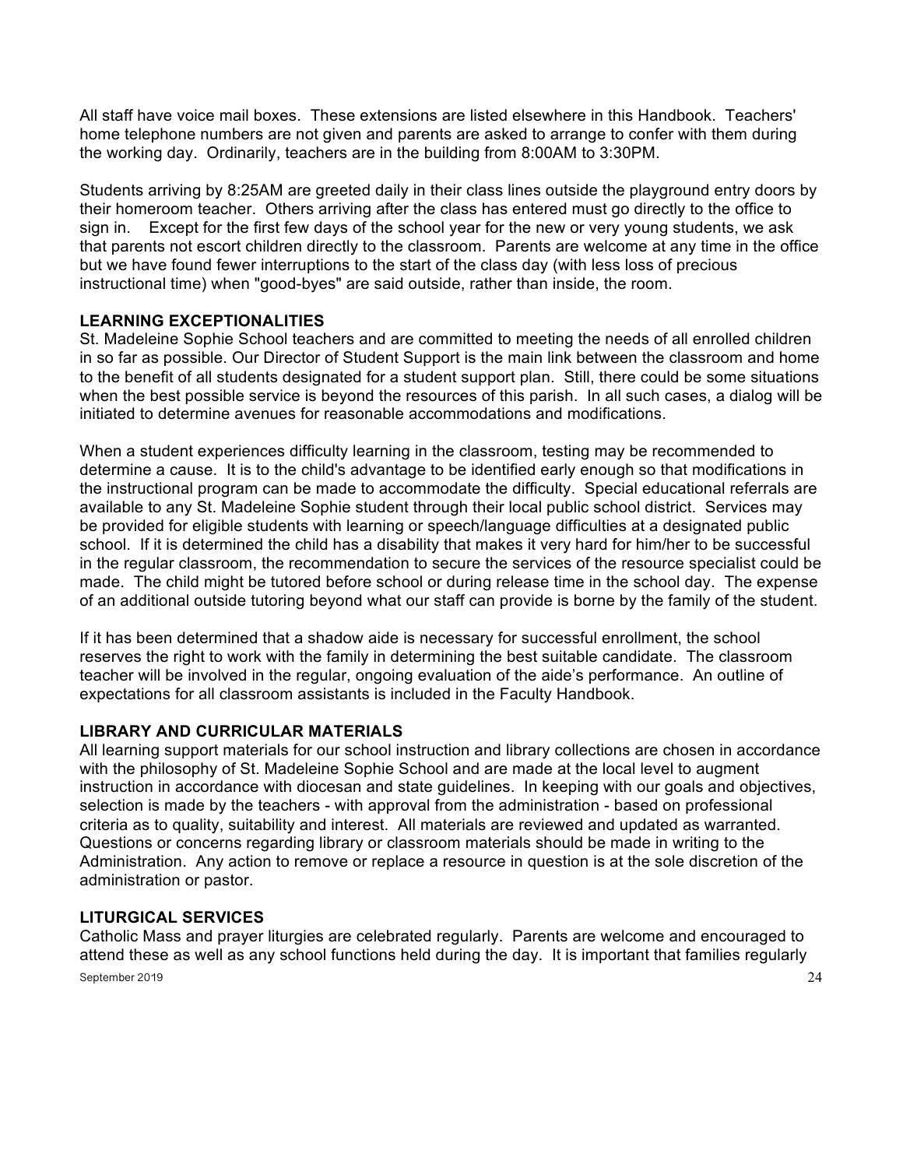All staff have voice mail boxes. These extensions are listed elsewhere in this Handbook. Teachers' home telephone numbers are not given and parents are asked to arrange to confer with them during the working day. Ordinarily, teachers are in the building from 8:00AM to 3:30PM.

Students arriving by 8:25AM are greeted daily in their class lines outside the playground entry doors by their homeroom teacher. Others arriving after the class has entered must go directly to the office to sign in. Except for the first few days of the school year for the new or very young students, we ask that parents not escort children directly to the classroom. Parents are welcome at any time in the office but we have found fewer interruptions to the start of the class day (with less loss of precious instructional time) when "good-byes" are said outside, rather than inside, the room.

## **LEARNING EXCEPTIONALITIES**

St. Madeleine Sophie School teachers and are committed to meeting the needs of all enrolled children in so far as possible. Our Director of Student Support is the main link between the classroom and home to the benefit of all students designated for a student support plan. Still, there could be some situations when the best possible service is beyond the resources of this parish. In all such cases, a dialog will be initiated to determine avenues for reasonable accommodations and modifications.

When a student experiences difficulty learning in the classroom, testing may be recommended to determine a cause. It is to the child's advantage to be identified early enough so that modifications in the instructional program can be made to accommodate the difficulty. Special educational referrals are available to any St. Madeleine Sophie student through their local public school district. Services may be provided for eligible students with learning or speech/language difficulties at a designated public school. If it is determined the child has a disability that makes it very hard for him/her to be successful in the regular classroom, the recommendation to secure the services of the resource specialist could be made. The child might be tutored before school or during release time in the school day. The expense of an additional outside tutoring beyond what our staff can provide is borne by the family of the student.

If it has been determined that a shadow aide is necessary for successful enrollment, the school reserves the right to work with the family in determining the best suitable candidate. The classroom teacher will be involved in the regular, ongoing evaluation of the aide's performance. An outline of expectations for all classroom assistants is included in the Faculty Handbook.

## **LIBRARY AND CURRICULAR MATERIALS**

All learning support materials for our school instruction and library collections are chosen in accordance with the philosophy of St. Madeleine Sophie School and are made at the local level to augment instruction in accordance with diocesan and state guidelines. In keeping with our goals and objectives, selection is made by the teachers - with approval from the administration - based on professional criteria as to quality, suitability and interest. All materials are reviewed and updated as warranted. Questions or concerns regarding library or classroom materials should be made in writing to the Administration. Any action to remove or replace a resource in question is at the sole discretion of the administration or pastor.

#### **LITURGICAL SERVICES**

September 2019 24 Catholic Mass and prayer liturgies are celebrated regularly. Parents are welcome and encouraged to attend these as well as any school functions held during the day. It is important that families regularly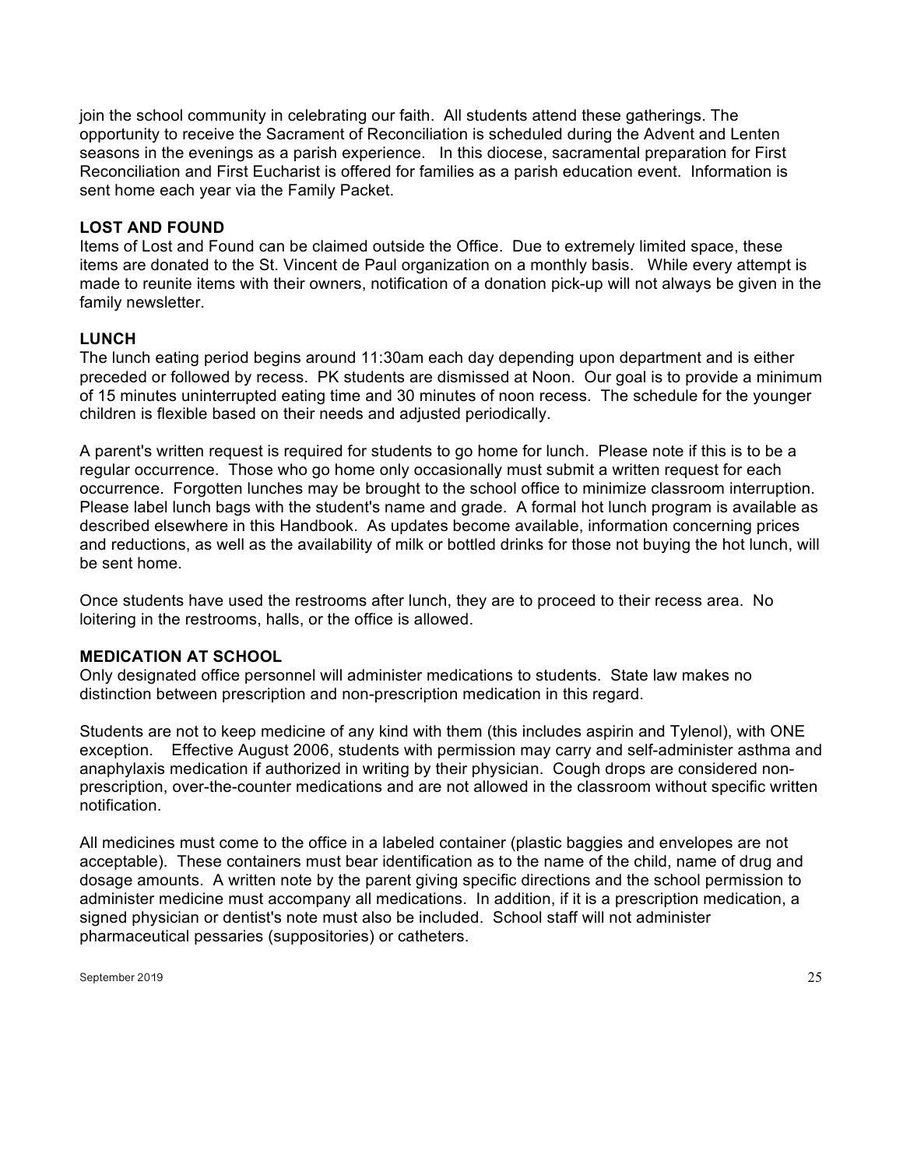join the school community in celebrating our faith. All students attend these gatherings. The opportunity to receive the Sacrament of Reconciliation is scheduled during the Advent and Lenten seasons in the evenings as a parish experience. In this diocese, sacramental preparation for First Reconciliation and First Eucharist is offered for families as a parish education event. Information is sent home each year via the Family Packet.

#### **LOST AND FOUND**

Items of Lost and Found can be claimed outside the Office. Due to extremely limited space, these items are donated to the St. Vincent de Paul organization on a monthly basis. While every attempt is made to reunite items with their owners, notification of a donation pick-up will not always be given in the family newsletter.

#### **LUNCH**

The lunch eating period begins around 11:30am each day depending upon department and is either preceded or followed by recess. PK students are dismissed at Noon. Our goal is to provide a minimum of 15 minutes uninterrupted eating time and 30 minutes of noon recess. The schedule for the younger children is flexible based on their needs and adjusted periodically.

A parent's written request is required for students to go home for lunch. Please note if this is to be a regular occurrence. Those who go home only occasionally must submit a written request for each occurrence. Forgotten lunches may be brought to the school office to minimize classroom interruption. Please label lunch bags with the student's name and grade. A formal hot lunch program is available as described elsewhere in this Handbook. As updates become available, information concerning prices and reductions, as well as the availability of milk or bottled drinks for those not buying the hot lunch, will be sent home.

Once students have used the restrooms after lunch, they are to proceed to their recess area. No loitering in the restrooms, halls, or the office is allowed.

#### **MEDICATION AT SCHOOL**

Only designated office personnel will administer medications to students. State law makes no distinction between prescription and non-prescription medication in this regard.

Students are not to keep medicine of any kind with them (this includes aspirin and Tylenol), with ONE exception. Effective August 2006, students with permission may carry and self-administer asthma and anaphylaxis medication if authorized in writing by their physician. Cough drops are considered nonprescription, over-the-counter medications and are not allowed in the classroom without specific written notification.

All medicines must come to the office in a labeled container (plastic baggies and envelopes are not acceptable). These containers must bear identification as to the name of the child, name of drug and dosage amounts. A written note by the parent giving specific directions and the school permission to administer medicine must accompany all medications. In addition, if it is a prescription medication, a signed physician or dentist's note must also be included. School staff will not administer pharmaceutical pessaries (suppositories) or catheters.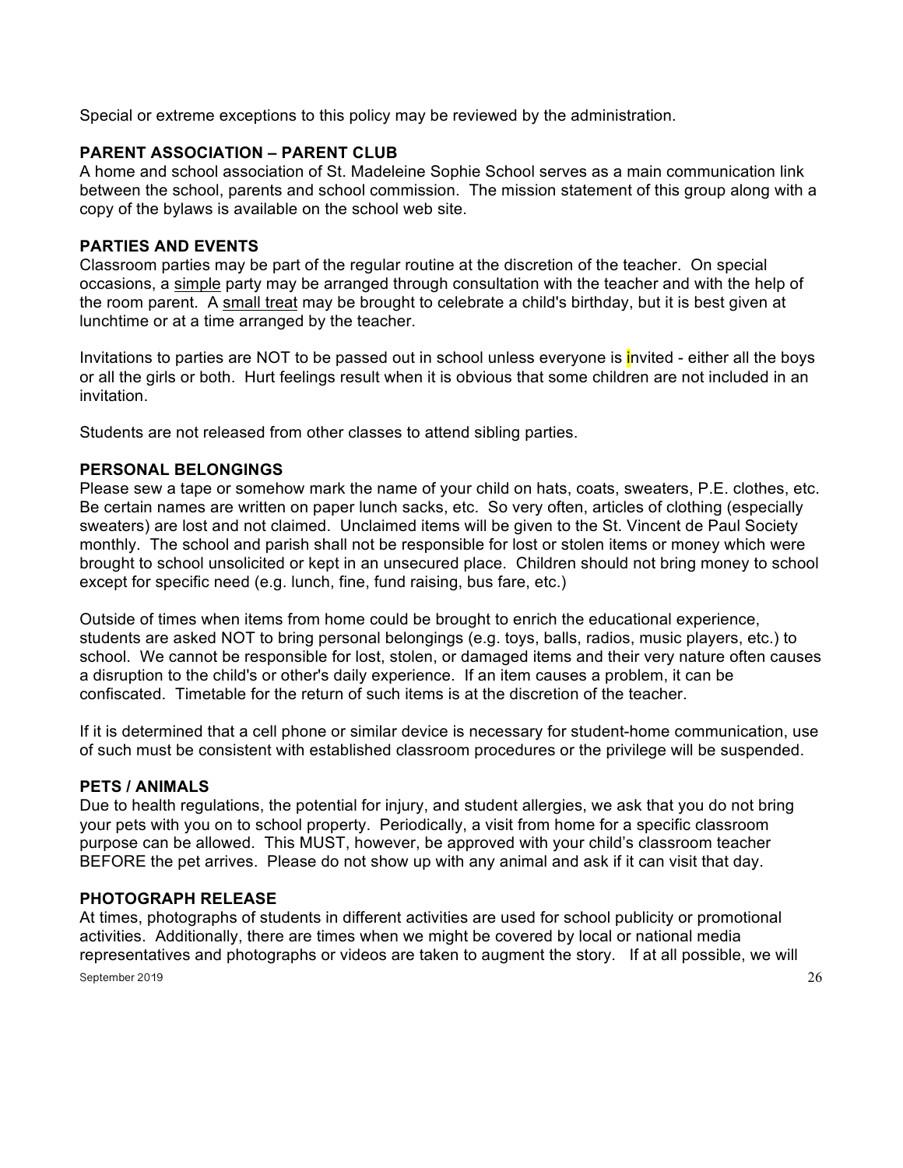Special or extreme exceptions to this policy may be reviewed by the administration.

## **PARENT ASSOCIATION – PARENT CLUB**

A home and school association of St. Madeleine Sophie School serves as a main communication link between the school, parents and school commission. The mission statement of this group along with a copy of the bylaws is available on the school web site.

## **PARTIES AND EVENTS**

Classroom parties may be part of the regular routine at the discretion of the teacher. On special occasions, a simple party may be arranged through consultation with the teacher and with the help of the room parent. A small treat may be brought to celebrate a child's birthday, but it is best given at lunchtime or at a time arranged by the teacher.

Invitations to parties are NOT to be passed out in school unless everyone is invited - either all the boys or all the girls or both. Hurt feelings result when it is obvious that some children are not included in an invitation.

Students are not released from other classes to attend sibling parties.

## **PERSONAL BELONGINGS**

Please sew a tape or somehow mark the name of your child on hats, coats, sweaters, P.E. clothes, etc. Be certain names are written on paper lunch sacks, etc. So very often, articles of clothing (especially sweaters) are lost and not claimed. Unclaimed items will be given to the St. Vincent de Paul Society monthly. The school and parish shall not be responsible for lost or stolen items or money which were brought to school unsolicited or kept in an unsecured place. Children should not bring money to school except for specific need (e.g. lunch, fine, fund raising, bus fare, etc.)

Outside of times when items from home could be brought to enrich the educational experience, students are asked NOT to bring personal belongings (e.g. toys, balls, radios, music players, etc.) to school. We cannot be responsible for lost, stolen, or damaged items and their very nature often causes a disruption to the child's or other's daily experience. If an item causes a problem, it can be confiscated. Timetable for the return of such items is at the discretion of the teacher.

If it is determined that a cell phone or similar device is necessary for student-home communication, use of such must be consistent with established classroom procedures or the privilege will be suspended.

## **PETS / ANIMALS**

Due to health regulations, the potential for injury, and student allergies, we ask that you do not bring your pets with you on to school property. Periodically, a visit from home for a specific classroom purpose can be allowed. This MUST, however, be approved with your child's classroom teacher BEFORE the pet arrives. Please do not show up with any animal and ask if it can visit that day.

## **PHOTOGRAPH RELEASE**

September 2019 $\qquad \qquad \qquad \qquad 26$ At times, photographs of students in different activities are used for school publicity or promotional activities. Additionally, there are times when we might be covered by local or national media representatives and photographs or videos are taken to augment the story. If at all possible, we will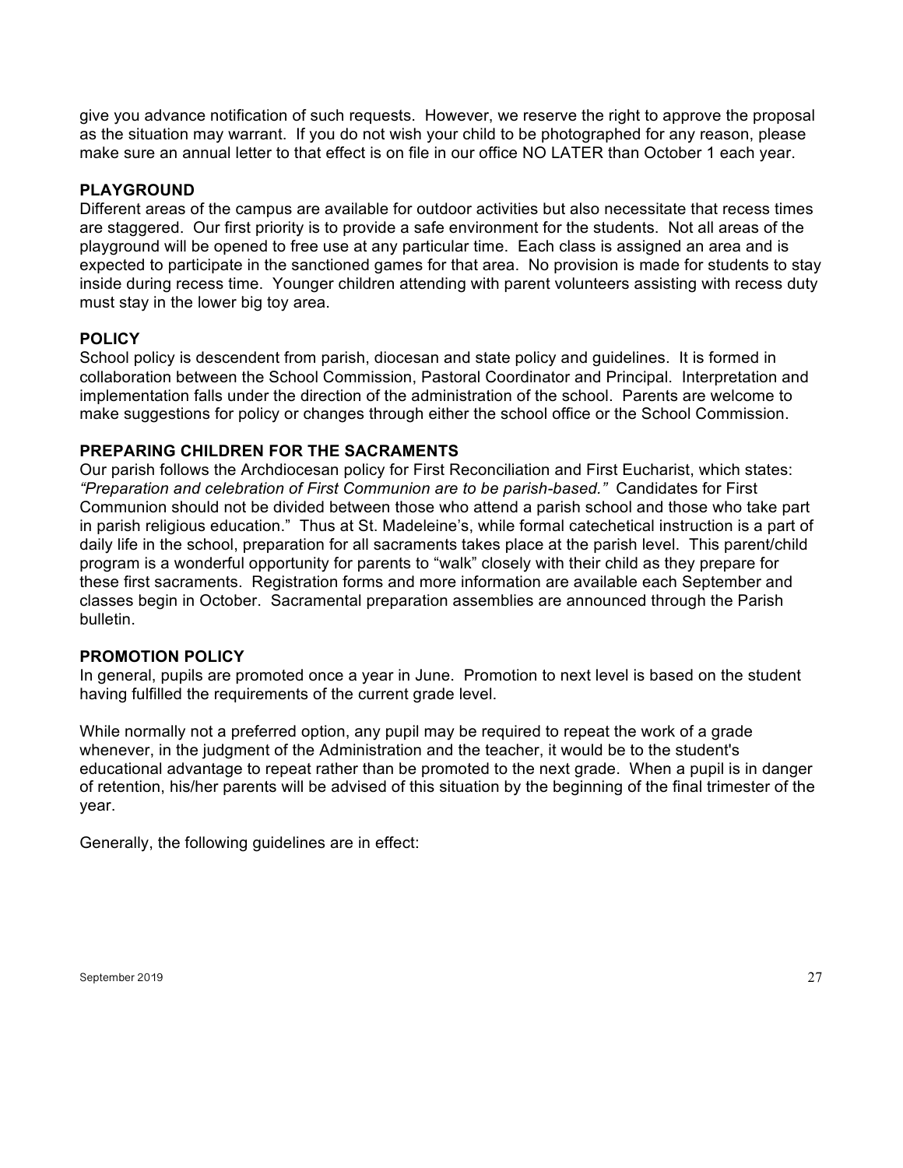give you advance notification of such requests. However, we reserve the right to approve the proposal as the situation may warrant. If you do not wish your child to be photographed for any reason, please make sure an annual letter to that effect is on file in our office NO LATER than October 1 each year.

## **PLAYGROUND**

Different areas of the campus are available for outdoor activities but also necessitate that recess times are staggered. Our first priority is to provide a safe environment for the students. Not all areas of the playground will be opened to free use at any particular time. Each class is assigned an area and is expected to participate in the sanctioned games for that area. No provision is made for students to stay inside during recess time. Younger children attending with parent volunteers assisting with recess duty must stay in the lower big toy area.

#### **POLICY**

School policy is descendent from parish, diocesan and state policy and guidelines. It is formed in collaboration between the School Commission, Pastoral Coordinator and Principal. Interpretation and implementation falls under the direction of the administration of the school. Parents are welcome to make suggestions for policy or changes through either the school office or the School Commission.

## **PREPARING CHILDREN FOR THE SACRAMENTS**

Our parish follows the Archdiocesan policy for First Reconciliation and First Eucharist, which states: *"Preparation and celebration of First Communion are to be parish-based."* Candidates for First Communion should not be divided between those who attend a parish school and those who take part in parish religious education." Thus at St. Madeleine's, while formal catechetical instruction is a part of daily life in the school, preparation for all sacraments takes place at the parish level. This parent/child program is a wonderful opportunity for parents to "walk" closely with their child as they prepare for these first sacraments. Registration forms and more information are available each September and classes begin in October. Sacramental preparation assemblies are announced through the Parish bulletin.

#### **PROMOTION POLICY**

In general, pupils are promoted once a year in June. Promotion to next level is based on the student having fulfilled the requirements of the current grade level.

While normally not a preferred option, any pupil may be required to repeat the work of a grade whenever, in the judgment of the Administration and the teacher, it would be to the student's educational advantage to repeat rather than be promoted to the next grade. When a pupil is in danger of retention, his/her parents will be advised of this situation by the beginning of the final trimester of the year.

Generally, the following guidelines are in effect: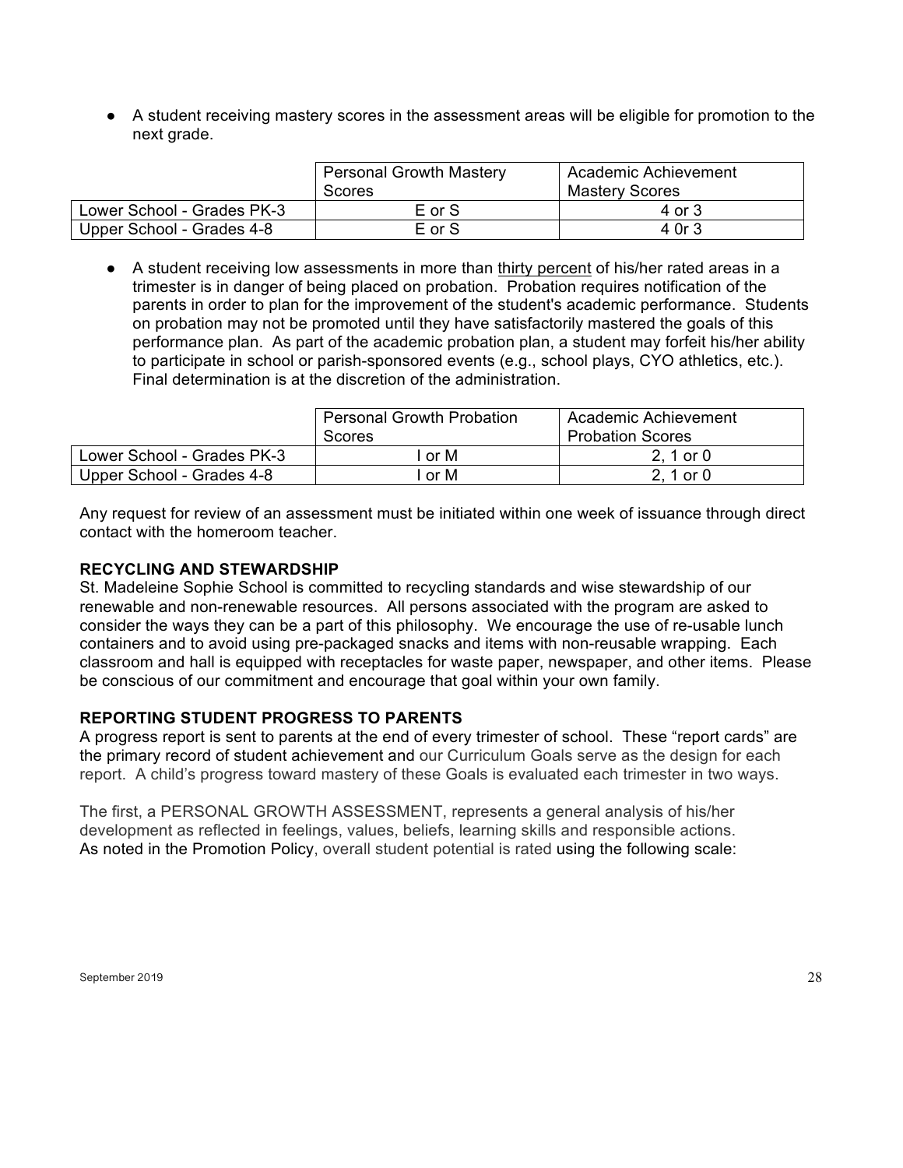● A student receiving mastery scores in the assessment areas will be eligible for promotion to the next grade.

|                            | <b>Personal Growth Mastery</b> | Academic Achievement  |
|----------------------------|--------------------------------|-----------------------|
|                            | Scores                         | <b>Mastery Scores</b> |
| Lower School - Grades PK-3 | E or S                         | 4 or 3                |
| Upper School - Grades 4-8  | E or S                         | 4 Or 3                |

● A student receiving low assessments in more than thirty percent of his/her rated areas in a trimester is in danger of being placed on probation. Probation requires notification of the parents in order to plan for the improvement of the student's academic performance. Students on probation may not be promoted until they have satisfactorily mastered the goals of this performance plan. As part of the academic probation plan, a student may forfeit his/her ability to participate in school or parish-sponsored events (e.g., school plays, CYO athletics, etc.). Final determination is at the discretion of the administration.

|                            | <b>Personal Growth Probation</b><br>Scores | Academic Achievement<br><b>Probation Scores</b> |
|----------------------------|--------------------------------------------|-------------------------------------------------|
| Lower School - Grades PK-3 | l or M                                     | 2, 1 or 0                                       |
| Upper School - Grades 4-8  | l or M                                     | 2, 1 or 0                                       |

Any request for review of an assessment must be initiated within one week of issuance through direct contact with the homeroom teacher.

#### **RECYCLING AND STEWARDSHIP**

St. Madeleine Sophie School is committed to recycling standards and wise stewardship of our renewable and non-renewable resources. All persons associated with the program are asked to consider the ways they can be a part of this philosophy. We encourage the use of re-usable lunch containers and to avoid using pre-packaged snacks and items with non-reusable wrapping. Each classroom and hall is equipped with receptacles for waste paper, newspaper, and other items. Please be conscious of our commitment and encourage that goal within your own family.

## **REPORTING STUDENT PROGRESS TO PARENTS**

A progress report is sent to parents at the end of every trimester of school. These "report cards" are the primary record of student achievement and our Curriculum Goals serve as the design for each report. A child's progress toward mastery of these Goals is evaluated each trimester in two ways.

The first, a PERSONAL GROWTH ASSESSMENT, represents a general analysis of his/her development as reflected in feelings, values, beliefs, learning skills and responsible actions. As noted in the Promotion Policy, overall student potential is rated using the following scale: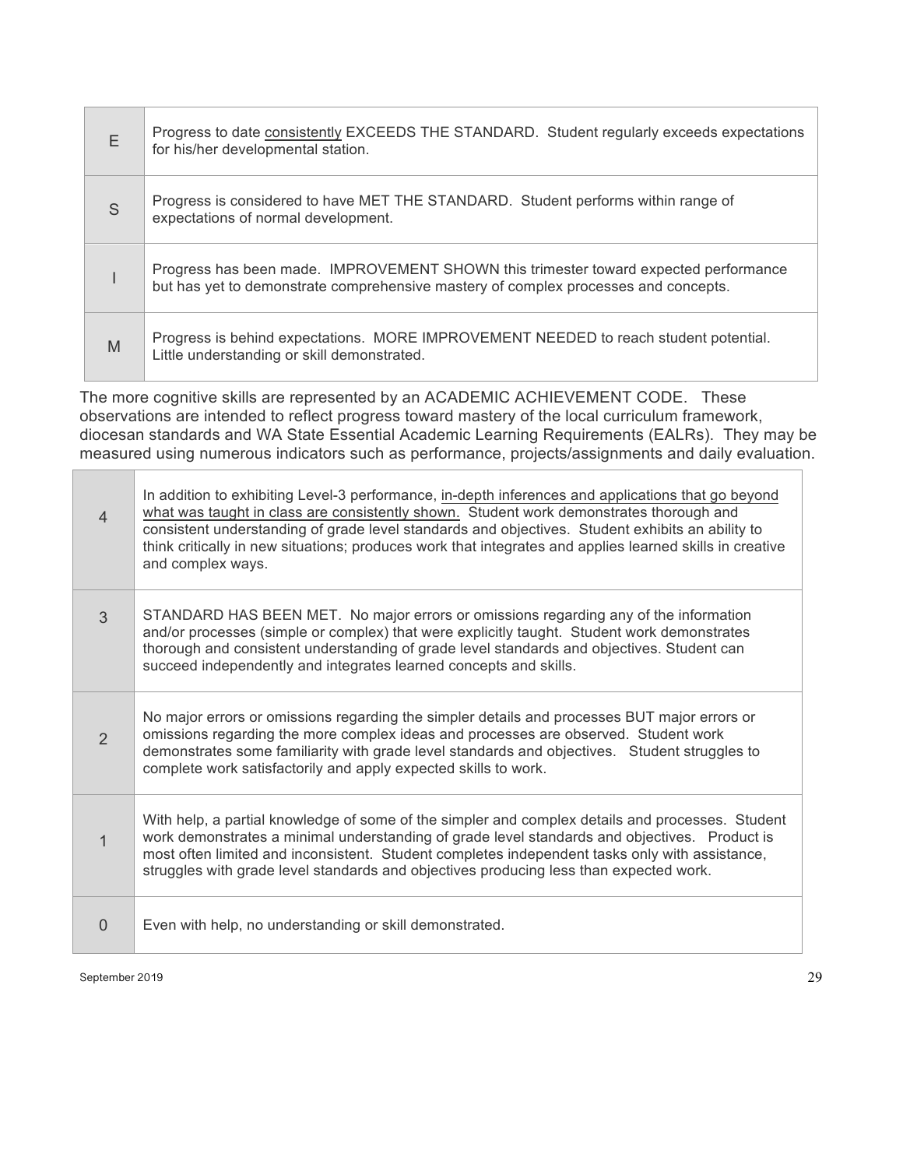| E | Progress to date consistently EXCEEDS THE STANDARD. Student regularly exceeds expectations<br>for his/her developmental station.                                            |
|---|-----------------------------------------------------------------------------------------------------------------------------------------------------------------------------|
| S | Progress is considered to have MET THE STANDARD. Student performs within range of<br>expectations of normal development.                                                    |
|   | Progress has been made. IMPROVEMENT SHOWN this trimester toward expected performance<br>but has yet to demonstrate comprehensive mastery of complex processes and concepts. |
| M | Progress is behind expectations. MORE IMPROVEMENT NEEDED to reach student potential.<br>Little understanding or skill demonstrated.                                         |

The more cognitive skills are represented by an ACADEMIC ACHIEVEMENT CODE. These observations are intended to reflect progress toward mastery of the local curriculum framework, diocesan standards and WA State Essential Academic Learning Requirements (EALRs). They may be measured using numerous indicators such as performance, projects/assignments and daily evaluation.

| $\overline{4}$ | In addition to exhibiting Level-3 performance, in-depth inferences and applications that go beyond<br>what was taught in class are consistently shown. Student work demonstrates thorough and<br>consistent understanding of grade level standards and objectives. Student exhibits an ability to<br>think critically in new situations; produces work that integrates and applies learned skills in creative<br>and complex ways. |
|----------------|------------------------------------------------------------------------------------------------------------------------------------------------------------------------------------------------------------------------------------------------------------------------------------------------------------------------------------------------------------------------------------------------------------------------------------|
| 3              | STANDARD HAS BEEN MET. No major errors or omissions regarding any of the information<br>and/or processes (simple or complex) that were explicitly taught. Student work demonstrates<br>thorough and consistent understanding of grade level standards and objectives. Student can<br>succeed independently and integrates learned concepts and skills.                                                                             |
| $\mathcal{P}$  | No major errors or omissions regarding the simpler details and processes BUT major errors or<br>omissions regarding the more complex ideas and processes are observed. Student work<br>demonstrates some familiarity with grade level standards and objectives. Student struggles to<br>complete work satisfactorily and apply expected skills to work.                                                                            |
| 1              | With help, a partial knowledge of some of the simpler and complex details and processes. Student<br>work demonstrates a minimal understanding of grade level standards and objectives. Product is<br>most often limited and inconsistent. Student completes independent tasks only with assistance,<br>struggles with grade level standards and objectives producing less than expected work.                                      |
| $\Omega$       | Even with help, no understanding or skill demonstrated.                                                                                                                                                                                                                                                                                                                                                                            |

September 2019 29

<u> Elizabeth C</u>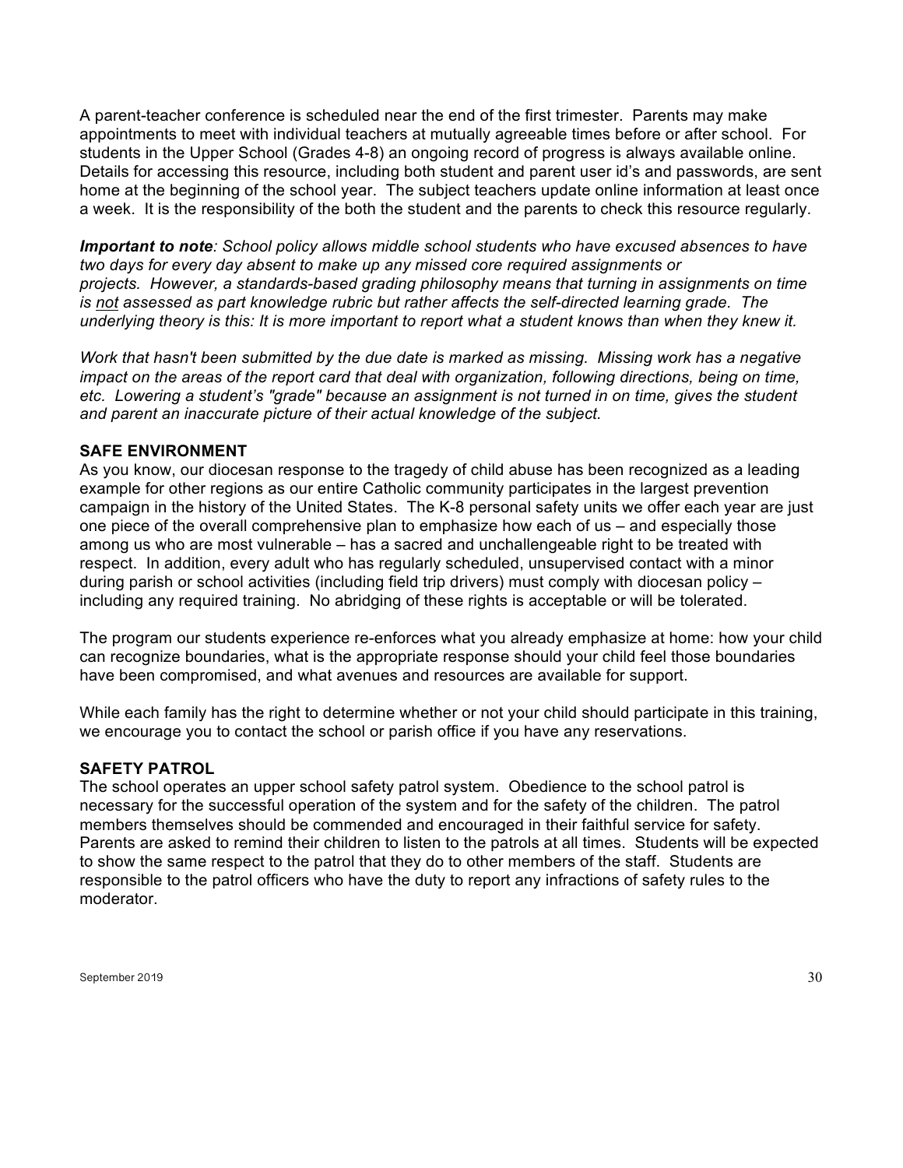A parent-teacher conference is scheduled near the end of the first trimester. Parents may make appointments to meet with individual teachers at mutually agreeable times before or after school. For students in the Upper School (Grades 4-8) an ongoing record of progress is always available online. Details for accessing this resource, including both student and parent user id's and passwords, are sent home at the beginning of the school year. The subject teachers update online information at least once a week. It is the responsibility of the both the student and the parents to check this resource regularly.

*Important to note: School policy allows middle school students who have excused absences to have two days for every day absent to make up any missed core required assignments or projects. However, a standards-based grading philosophy means that turning in assignments on time is not assessed as part knowledge rubric but rather affects the self-directed learning grade. The underlying theory is this: It is more important to report what a student knows than when they knew it.*

*Work that hasn't been submitted by the due date is marked as missing. Missing work has a negative impact on the areas of the report card that deal with organization, following directions, being on time, etc. Lowering a student's "grade" because an assignment is not turned in on time, gives the student and parent an inaccurate picture of their actual knowledge of the subject.*

#### **SAFE ENVIRONMENT**

As you know, our diocesan response to the tragedy of child abuse has been recognized as a leading example for other regions as our entire Catholic community participates in the largest prevention campaign in the history of the United States. The K-8 personal safety units we offer each year are just one piece of the overall comprehensive plan to emphasize how each of us – and especially those among us who are most vulnerable – has a sacred and unchallengeable right to be treated with respect. In addition, every adult who has regularly scheduled, unsupervised contact with a minor during parish or school activities (including field trip drivers) must comply with diocesan policy – including any required training. No abridging of these rights is acceptable or will be tolerated.

The program our students experience re-enforces what you already emphasize at home: how your child can recognize boundaries, what is the appropriate response should your child feel those boundaries have been compromised, and what avenues and resources are available for support.

While each family has the right to determine whether or not your child should participate in this training, we encourage you to contact the school or parish office if you have any reservations.

#### **SAFETY PATROL**

The school operates an upper school safety patrol system. Obedience to the school patrol is necessary for the successful operation of the system and for the safety of the children. The patrol members themselves should be commended and encouraged in their faithful service for safety. Parents are asked to remind their children to listen to the patrols at all times. Students will be expected to show the same respect to the patrol that they do to other members of the staff. Students are responsible to the patrol officers who have the duty to report any infractions of safety rules to the moderator.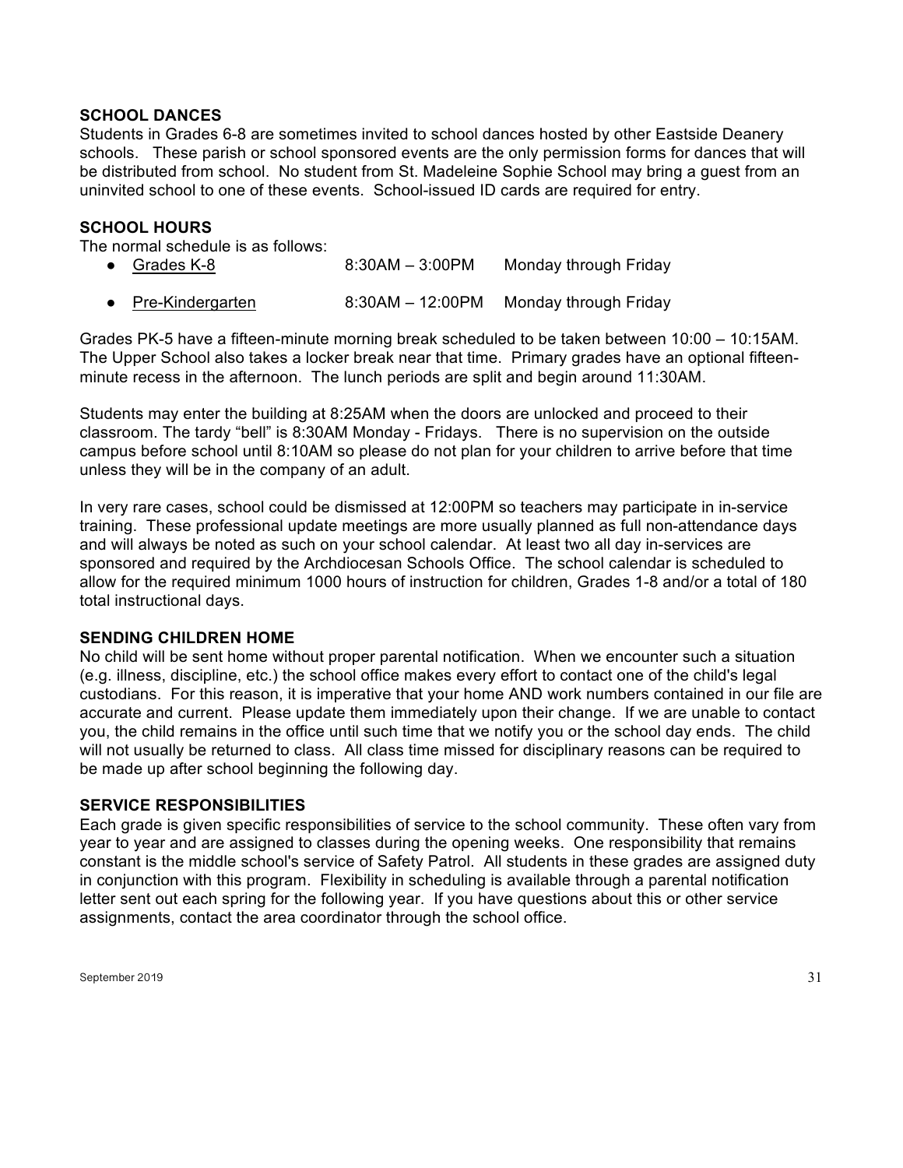#### **SCHOOL DANCES**

Students in Grades 6-8 are sometimes invited to school dances hosted by other Eastside Deanery schools. These parish or school sponsored events are the only permission forms for dances that will be distributed from school. No student from St. Madeleine Sophie School may bring a guest from an uninvited school to one of these events. School-issued ID cards are required for entry.

#### **SCHOOL HOURS**

The normal schedule is as follows:

● Grades K-8 6:30AM – 3:00PM Monday through Friday ● Pre-Kindergarten 8:30AM – 12:00PM Monday through Friday

Grades PK-5 have a fifteen-minute morning break scheduled to be taken between 10:00 – 10:15AM. The Upper School also takes a locker break near that time. Primary grades have an optional fifteenminute recess in the afternoon. The lunch periods are split and begin around 11:30AM.

Students may enter the building at 8:25AM when the doors are unlocked and proceed to their classroom. The tardy "bell" is 8:30AM Monday - Fridays. There is no supervision on the outside campus before school until 8:10AM so please do not plan for your children to arrive before that time unless they will be in the company of an adult.

In very rare cases, school could be dismissed at 12:00PM so teachers may participate in in-service training. These professional update meetings are more usually planned as full non-attendance days and will always be noted as such on your school calendar. At least two all day in-services are sponsored and required by the Archdiocesan Schools Office. The school calendar is scheduled to allow for the required minimum 1000 hours of instruction for children, Grades 1-8 and/or a total of 180 total instructional days.

#### **SENDING CHILDREN HOME**

No child will be sent home without proper parental notification. When we encounter such a situation (e.g. illness, discipline, etc.) the school office makes every effort to contact one of the child's legal custodians. For this reason, it is imperative that your home AND work numbers contained in our file are accurate and current. Please update them immediately upon their change. If we are unable to contact you, the child remains in the office until such time that we notify you or the school day ends. The child will not usually be returned to class. All class time missed for disciplinary reasons can be required to be made up after school beginning the following day.

#### **SERVICE RESPONSIBILITIES**

Each grade is given specific responsibilities of service to the school community. These often vary from year to year and are assigned to classes during the opening weeks. One responsibility that remains constant is the middle school's service of Safety Patrol. All students in these grades are assigned duty in conjunction with this program. Flexibility in scheduling is available through a parental notification letter sent out each spring for the following year. If you have questions about this or other service assignments, contact the area coordinator through the school office.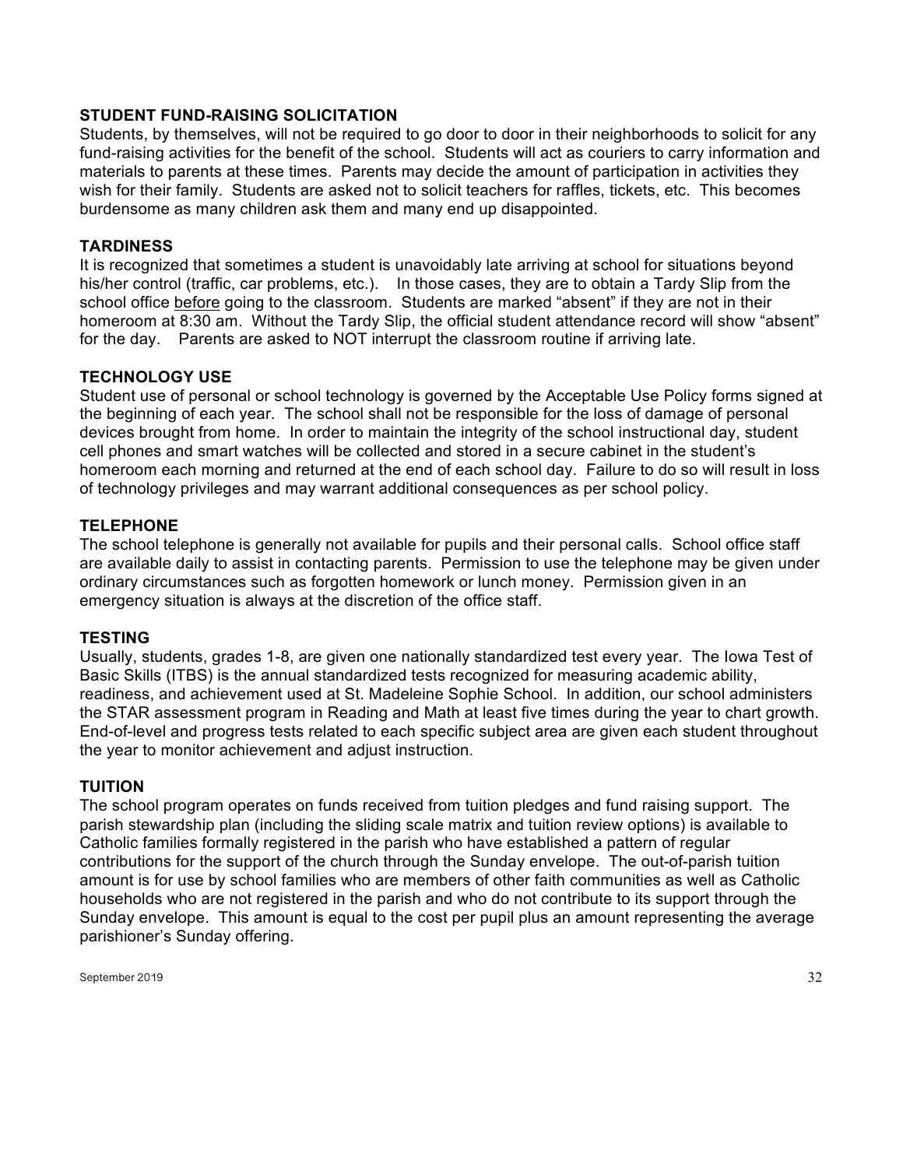## **STUDENT FUND-RAISING SOLICITATION**

Students, by themselves, will not be required to go door to door in their neighborhoods to solicit for any fund-raising activities for the benefit of the school. Students will act as couriers to carry information and materials to parents at these times. Parents may decide the amount of participation in activities they wish for their family. Students are asked not to solicit teachers for raffles, tickets, etc. This becomes burdensome as many children ask them and many end up disappointed.

#### **TARDINESS**

It is recognized that sometimes a student is unavoidably late arriving at school for situations beyond his/her control (traffic, car problems, etc.). In those cases, they are to obtain a Tardy Slip from the school office before going to the classroom. Students are marked "absent" if they are not in their homeroom at 8:30 am. Without the Tardy Slip, the official student attendance record will show "absent" for the day. Parents are asked to NOT interrupt the classroom routine if arriving late.

#### **TECHNOLOGY USE**

Student use of personal or school technology is governed by the Acceptable Use Policy forms signed at the beginning of each year. The school shall not be responsible for the loss of damage of personal devices brought from home. In order to maintain the integrity of the school instructional day, student cell phones and smart watches will be collected and stored in a secure cabinet in the student's homeroom each morning and returned at the end of each school day. Failure to do so will result in loss of technology privileges and may warrant additional consequences as per school policy.

#### **TELEPHONE**

The school telephone is generally not available for pupils and their personal calls. School office staff are available daily to assist in contacting parents. Permission to use the telephone may be given under ordinary circumstances such as forgotten homework or lunch money. Permission given in an emergency situation is always at the discretion of the office staff.

#### **TESTING**

Usually, students, grades 1-8, are given one nationally standardized test every year. The Iowa Test of Basic Skills (ITBS) is the annual standardized tests recognized for measuring academic ability, readiness, and achievement used at St. Madeleine Sophie School. In addition, our school administers the STAR assessment program in Reading and Math at least five times during the year to chart growth. End-of-level and progress tests related to each specific subject area are given each student throughout the year to monitor achievement and adjust instruction.

#### **TUITION**

The school program operates on funds received from tuition pledges and fund raising support. The parish stewardship plan (including the sliding scale matrix and tuition review options) is available to Catholic families formally registered in the parish who have established a pattern of regular contributions for the support of the church through the Sunday envelope. The out-of-parish tuition amount is for use by school families who are members of other faith communities as well as Catholic households who are not registered in the parish and who do not contribute to its support through the Sunday envelope. This amount is equal to the cost per pupil plus an amount representing the average parishioner's Sunday offering.

September 2019  $\qquad \qquad \qquad \qquad 32$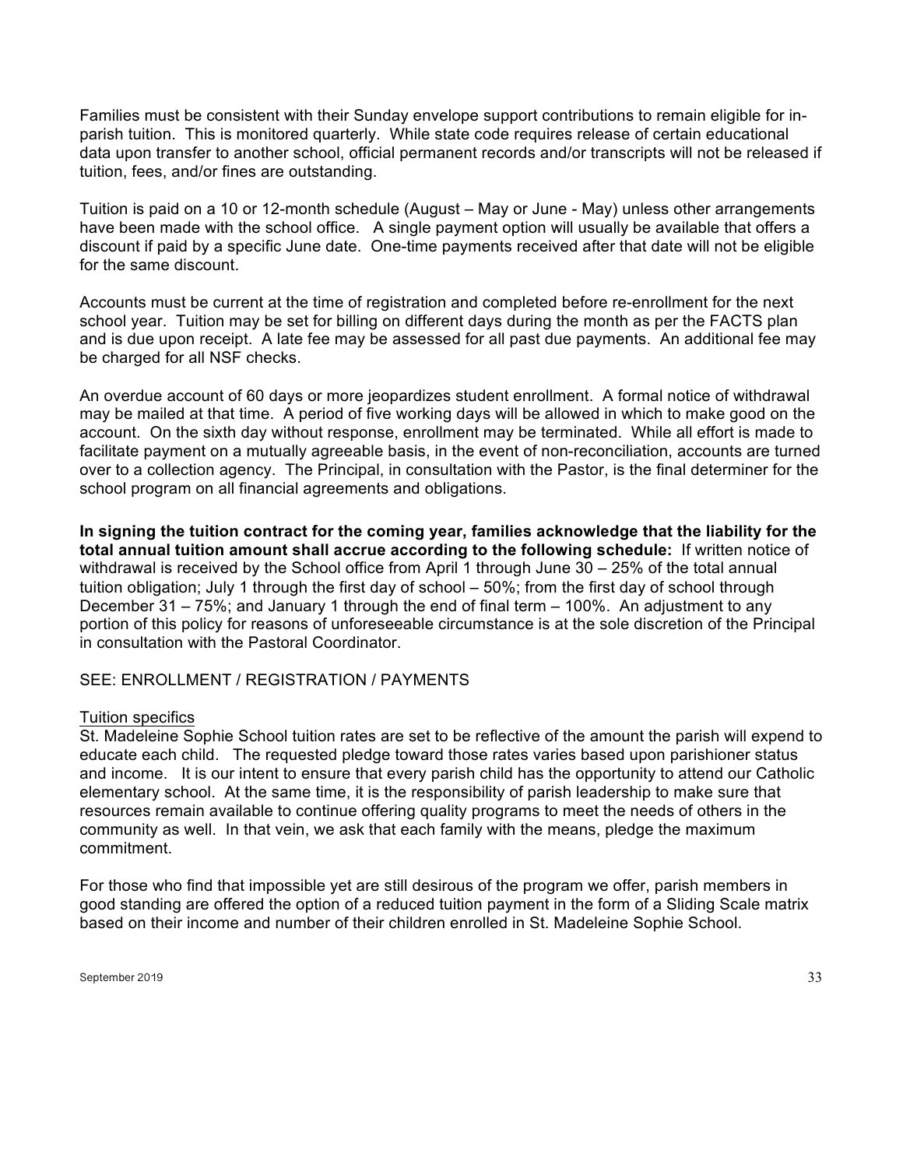Families must be consistent with their Sunday envelope support contributions to remain eligible for inparish tuition. This is monitored quarterly. While state code requires release of certain educational data upon transfer to another school, official permanent records and/or transcripts will not be released if tuition, fees, and/or fines are outstanding.

Tuition is paid on a 10 or 12-month schedule (August – May or June - May) unless other arrangements have been made with the school office. A single payment option will usually be available that offers a discount if paid by a specific June date. One-time payments received after that date will not be eligible for the same discount.

Accounts must be current at the time of registration and completed before re-enrollment for the next school year. Tuition may be set for billing on different days during the month as per the FACTS plan and is due upon receipt. A late fee may be assessed for all past due payments. An additional fee may be charged for all NSF checks.

An overdue account of 60 days or more jeopardizes student enrollment. A formal notice of withdrawal may be mailed at that time. A period of five working days will be allowed in which to make good on the account. On the sixth day without response, enrollment may be terminated. While all effort is made to facilitate payment on a mutually agreeable basis, in the event of non-reconciliation, accounts are turned over to a collection agency. The Principal, in consultation with the Pastor, is the final determiner for the school program on all financial agreements and obligations.

**In signing the tuition contract for the coming year, families acknowledge that the liability for the total annual tuition amount shall accrue according to the following schedule:** If written notice of withdrawal is received by the School office from April 1 through June 30 – 25% of the total annual tuition obligation; July 1 through the first day of school – 50%; from the first day of school through December 31 – 75%; and January 1 through the end of final term – 100%. An adjustment to any portion of this policy for reasons of unforeseeable circumstance is at the sole discretion of the Principal in consultation with the Pastoral Coordinator.

#### SEE: ENROLLMENT / REGISTRATION / PAYMENTS

#### Tuition specifics

St. Madeleine Sophie School tuition rates are set to be reflective of the amount the parish will expend to educate each child. The requested pledge toward those rates varies based upon parishioner status and income. It is our intent to ensure that every parish child has the opportunity to attend our Catholic elementary school. At the same time, it is the responsibility of parish leadership to make sure that resources remain available to continue offering quality programs to meet the needs of others in the community as well. In that vein, we ask that each family with the means, pledge the maximum commitment.

For those who find that impossible yet are still desirous of the program we offer, parish members in good standing are offered the option of a reduced tuition payment in the form of a Sliding Scale matrix based on their income and number of their children enrolled in St. Madeleine Sophie School.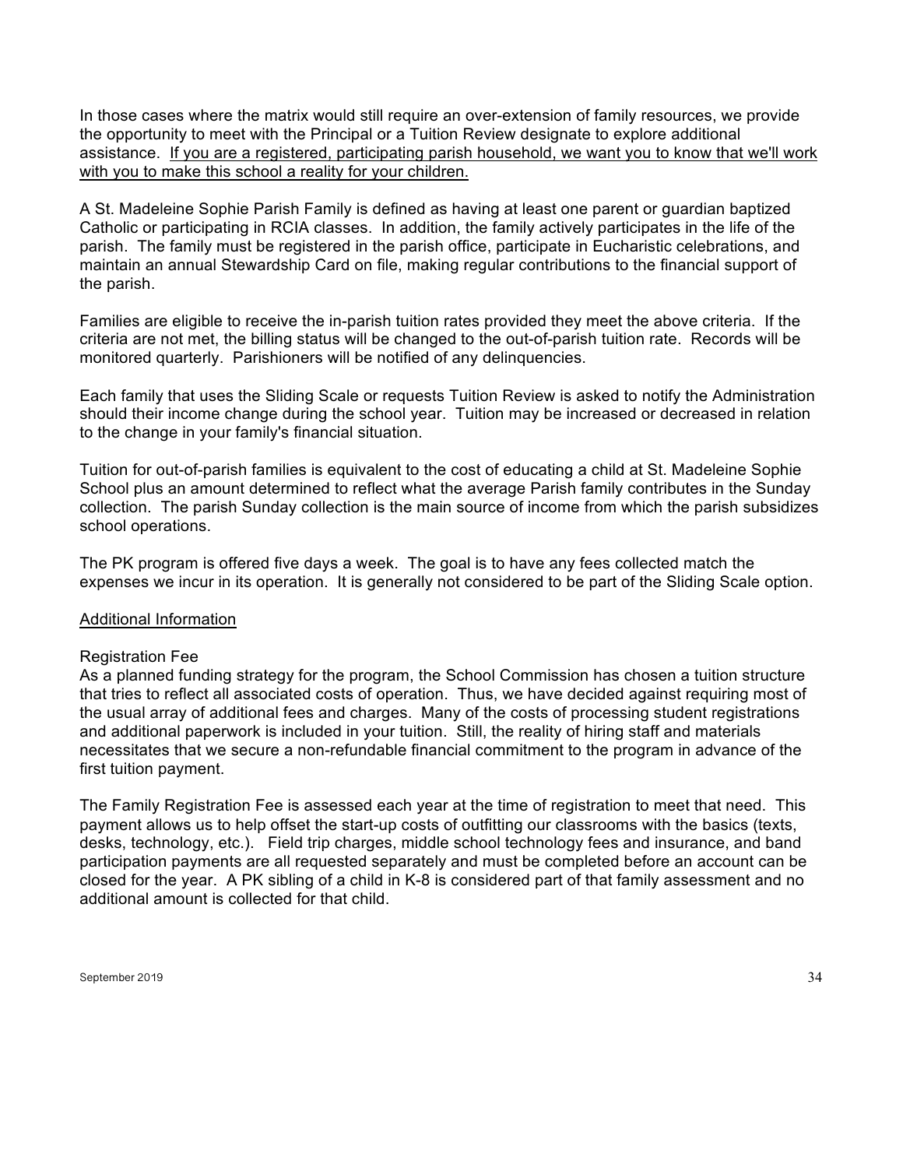In those cases where the matrix would still require an over-extension of family resources, we provide the opportunity to meet with the Principal or a Tuition Review designate to explore additional assistance. If you are a registered, participating parish household, we want you to know that we'll work with you to make this school a reality for your children.

A St. Madeleine Sophie Parish Family is defined as having at least one parent or guardian baptized Catholic or participating in RCIA classes. In addition, the family actively participates in the life of the parish. The family must be registered in the parish office, participate in Eucharistic celebrations, and maintain an annual Stewardship Card on file, making regular contributions to the financial support of the parish.

Families are eligible to receive the in-parish tuition rates provided they meet the above criteria. If the criteria are not met, the billing status will be changed to the out-of-parish tuition rate. Records will be monitored quarterly. Parishioners will be notified of any delinquencies.

Each family that uses the Sliding Scale or requests Tuition Review is asked to notify the Administration should their income change during the school year. Tuition may be increased or decreased in relation to the change in your family's financial situation.

Tuition for out-of-parish families is equivalent to the cost of educating a child at St. Madeleine Sophie School plus an amount determined to reflect what the average Parish family contributes in the Sunday collection. The parish Sunday collection is the main source of income from which the parish subsidizes school operations.

The PK program is offered five days a week. The goal is to have any fees collected match the expenses we incur in its operation. It is generally not considered to be part of the Sliding Scale option.

#### Additional Information

#### Registration Fee

As a planned funding strategy for the program, the School Commission has chosen a tuition structure that tries to reflect all associated costs of operation. Thus, we have decided against requiring most of the usual array of additional fees and charges. Many of the costs of processing student registrations and additional paperwork is included in your tuition. Still, the reality of hiring staff and materials necessitates that we secure a non-refundable financial commitment to the program in advance of the first tuition payment.

The Family Registration Fee is assessed each year at the time of registration to meet that need. This payment allows us to help offset the start-up costs of outfitting our classrooms with the basics (texts, desks, technology, etc.). Field trip charges, middle school technology fees and insurance, and band participation payments are all requested separately and must be completed before an account can be closed for the year. A PK sibling of a child in K-8 is considered part of that family assessment and no additional amount is collected for that child.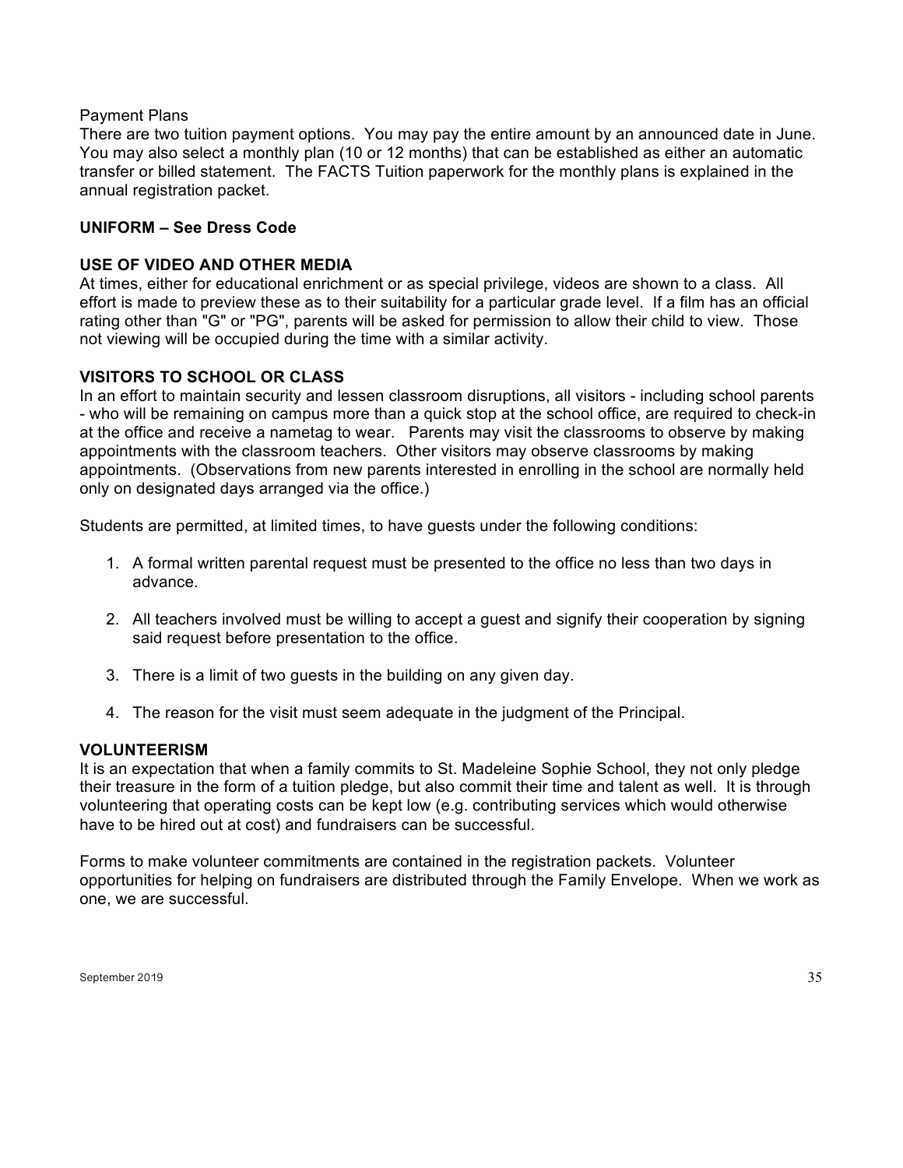#### Payment Plans

There are two tuition payment options. You may pay the entire amount by an announced date in June. You may also select a monthly plan (10 or 12 months) that can be established as either an automatic transfer or billed statement. The FACTS Tuition paperwork for the monthly plans is explained in the annual registration packet.

## **UNIFORM – See Dress Code**

#### **USE OF VIDEO AND OTHER MEDIA**

At times, either for educational enrichment or as special privilege, videos are shown to a class. All effort is made to preview these as to their suitability for a particular grade level. If a film has an official rating other than "G" or "PG", parents will be asked for permission to allow their child to view. Those not viewing will be occupied during the time with a similar activity.

#### **VISITORS TO SCHOOL OR CLASS**

In an effort to maintain security and lessen classroom disruptions, all visitors - including school parents - who will be remaining on campus more than a quick stop at the school office, are required to check-in at the office and receive a nametag to wear. Parents may visit the classrooms to observe by making appointments with the classroom teachers. Other visitors may observe classrooms by making appointments. (Observations from new parents interested in enrolling in the school are normally held only on designated days arranged via the office.)

Students are permitted, at limited times, to have guests under the following conditions:

- 1. A formal written parental request must be presented to the office no less than two days in advance.
- 2. All teachers involved must be willing to accept a guest and signify their cooperation by signing said request before presentation to the office.
- 3. There is a limit of two guests in the building on any given day.
- 4. The reason for the visit must seem adequate in the judgment of the Principal.

#### **VOLUNTEERISM**

It is an expectation that when a family commits to St. Madeleine Sophie School, they not only pledge their treasure in the form of a tuition pledge, but also commit their time and talent as well. It is through volunteering that operating costs can be kept low (e.g. contributing services which would otherwise have to be hired out at cost) and fundraisers can be successful.

Forms to make volunteer commitments are contained in the registration packets. Volunteer opportunities for helping on fundraisers are distributed through the Family Envelope. When we work as one, we are successful.